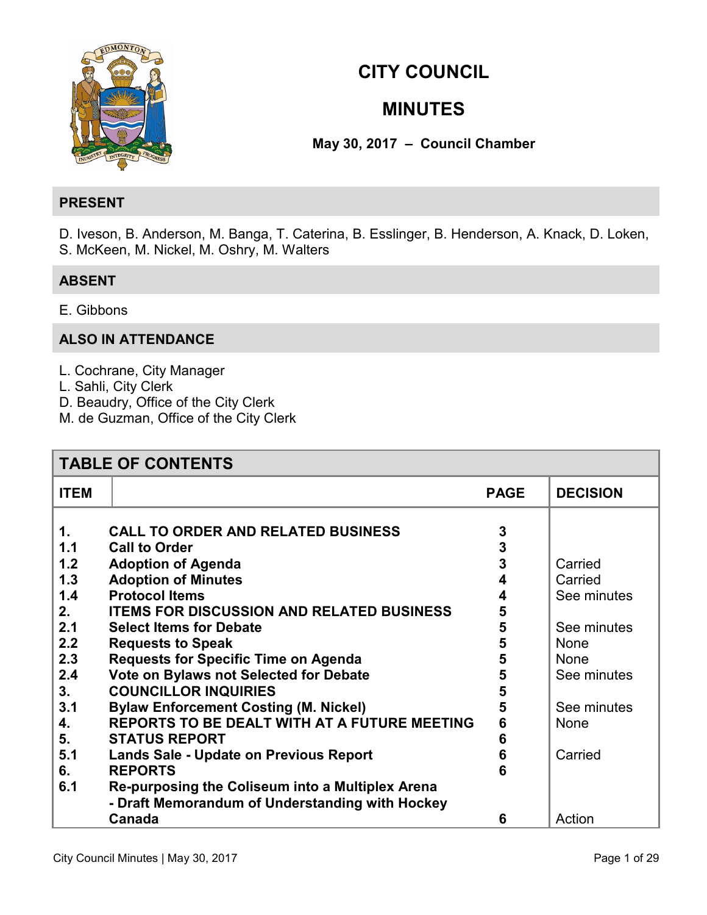

# **CITY COUNCIL**

# **MINUTES**

**May 30, 2017 – Council Chamber** 

## **PRESENT**

D. Iveson, B. Anderson, M. Banga, T. Caterina, B. Esslinger, B. Henderson, A. Knack, D. Loken, S. McKeen, M. Nickel, M. Oshry, M. Walters

## **ABSENT**

E. Gibbons

## **ALSO IN ATTENDANCE**

- L. Cochrane, City Manager
- L. Sahli, City Clerk
- D. Beaudry, Office of the City Clerk
- M. de Guzman, Office of the City Clerk

| <b>TABLE OF CONTENTS</b>                                                                                                 |                                                                                                                                                                                                                                                                                                                                                                                                                                                                                                                                                                                                                                                                                            |                                                                              |                                                                                                                                 |
|--------------------------------------------------------------------------------------------------------------------------|--------------------------------------------------------------------------------------------------------------------------------------------------------------------------------------------------------------------------------------------------------------------------------------------------------------------------------------------------------------------------------------------------------------------------------------------------------------------------------------------------------------------------------------------------------------------------------------------------------------------------------------------------------------------------------------------|------------------------------------------------------------------------------|---------------------------------------------------------------------------------------------------------------------------------|
| <b>ITEM</b>                                                                                                              |                                                                                                                                                                                                                                                                                                                                                                                                                                                                                                                                                                                                                                                                                            | <b>PAGE</b>                                                                  | <b>DECISION</b>                                                                                                                 |
| $\mathbf 1$ .<br>1.1<br>1.2<br>1.3<br>1.4<br>2.<br>2.1<br>2.2<br>2.3<br>2.4<br>3.<br>3.1<br>4.<br>5.<br>5.1<br>6.<br>6.1 | <b>CALL TO ORDER AND RELATED BUSINESS</b><br><b>Call to Order</b><br><b>Adoption of Agenda</b><br><b>Adoption of Minutes</b><br><b>Protocol Items</b><br><b>ITEMS FOR DISCUSSION AND RELATED BUSINESS</b><br><b>Select Items for Debate</b><br><b>Requests to Speak</b><br><b>Requests for Specific Time on Agenda</b><br>Vote on Bylaws not Selected for Debate<br><b>COUNCILLOR INQUIRIES</b><br><b>Bylaw Enforcement Costing (M. Nickel)</b><br>REPORTS TO BE DEALT WITH AT A FUTURE MEETING<br><b>STATUS REPORT</b><br>Lands Sale - Update on Previous Report<br><b>REPORTS</b><br>Re-purposing the Coliseum into a Multiplex Arena<br>- Draft Memorandum of Understanding with Hockey | 3<br>3<br>3<br>4<br>4<br>5<br>5<br>5<br>5<br>5<br>5<br>5<br>6<br>6<br>6<br>6 | Carried<br>Carried<br>See minutes<br>See minutes<br>None<br><b>None</b><br>See minutes<br>See minutes<br><b>None</b><br>Carried |
|                                                                                                                          | Canada                                                                                                                                                                                                                                                                                                                                                                                                                                                                                                                                                                                                                                                                                     | 6                                                                            | Action                                                                                                                          |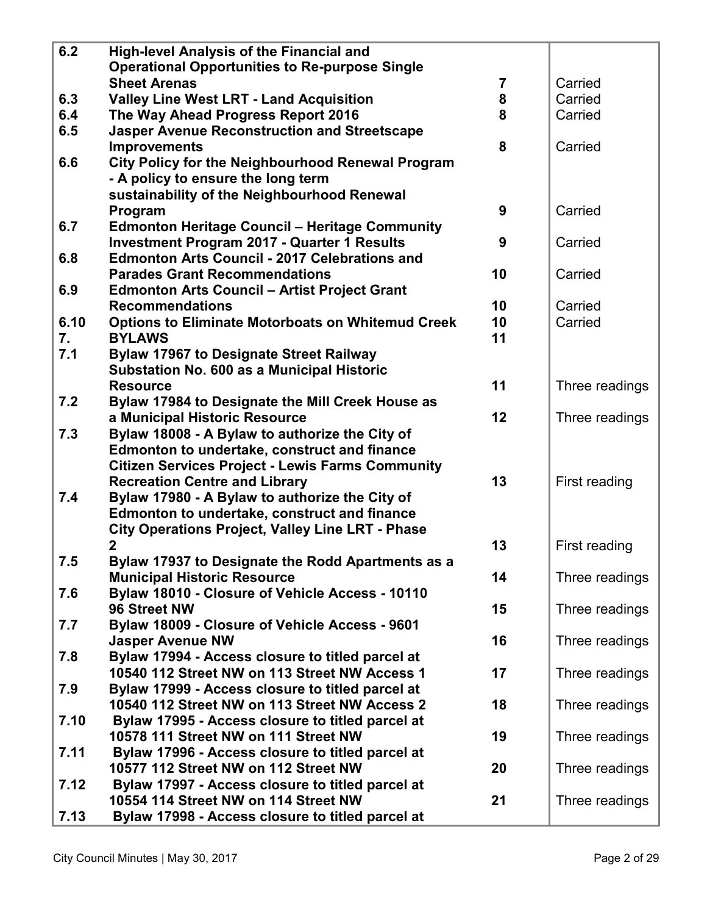| 6.2  | <b>High-level Analysis of the Financial and</b>                                   |                |                |
|------|-----------------------------------------------------------------------------------|----------------|----------------|
|      | <b>Operational Opportunities to Re-purpose Single</b>                             |                |                |
|      | <b>Sheet Arenas</b>                                                               | $\overline{7}$ | Carried        |
| 6.3  | <b>Valley Line West LRT - Land Acquisition</b>                                    | 8              | Carried        |
| 6.4  | The Way Ahead Progress Report 2016                                                | 8              | Carried        |
| 6.5  | <b>Jasper Avenue Reconstruction and Streetscape</b>                               |                |                |
|      | <b>Improvements</b>                                                               | 8              | Carried        |
| 6.6  | <b>City Policy for the Neighbourhood Renewal Program</b>                          |                |                |
|      | - A policy to ensure the long term                                                |                |                |
|      | sustainability of the Neighbourhood Renewal                                       |                |                |
|      | Program                                                                           | 9              | Carried        |
| 6.7  | <b>Edmonton Heritage Council - Heritage Community</b>                             |                |                |
|      | <b>Investment Program 2017 - Quarter 1 Results</b>                                | 9              | Carried        |
| 6.8  | <b>Edmonton Arts Council - 2017 Celebrations and</b>                              |                |                |
|      | <b>Parades Grant Recommendations</b>                                              | 10             | Carried        |
| 6.9  | <b>Edmonton Arts Council - Artist Project Grant</b>                               |                |                |
|      | <b>Recommendations</b>                                                            | 10             | Carried        |
| 6.10 | <b>Options to Eliminate Motorboats on Whitemud Creek</b>                          | 10             | Carried        |
| 7.   | <b>BYLAWS</b>                                                                     | 11             |                |
| 7.1  | <b>Bylaw 17967 to Designate Street Railway</b>                                    |                |                |
|      | <b>Substation No. 600 as a Municipal Historic</b>                                 | 11             |                |
| 7.2  | <b>Resource</b>                                                                   |                | Three readings |
|      | Bylaw 17984 to Designate the Mill Creek House as<br>a Municipal Historic Resource | 12             | Three readings |
| 7.3  | Bylaw 18008 - A Bylaw to authorize the City of                                    |                |                |
|      | <b>Edmonton to undertake, construct and finance</b>                               |                |                |
|      | <b>Citizen Services Project - Lewis Farms Community</b>                           |                |                |
|      | <b>Recreation Centre and Library</b>                                              | 13             | First reading  |
| 7.4  | Bylaw 17980 - A Bylaw to authorize the City of                                    |                |                |
|      | Edmonton to undertake, construct and finance                                      |                |                |
|      | <b>City Operations Project, Valley Line LRT - Phase</b>                           |                |                |
|      | 2                                                                                 | 13             | First reading  |
| 7.5  | Bylaw 17937 to Designate the Rodd Apartments as a                                 |                |                |
|      | <b>Municipal Historic Resource</b>                                                | 14             | Three readings |
| 7.6  | Bylaw 18010 - Closure of Vehicle Access - 10110                                   |                |                |
|      | 96 Street NW                                                                      | 15             | Three readings |
| 7.7  | Bylaw 18009 - Closure of Vehicle Access - 9601                                    |                |                |
|      | <b>Jasper Avenue NW</b>                                                           | 16             | Three readings |
| 7.8  | Bylaw 17994 - Access closure to titled parcel at                                  |                |                |
|      | 10540 112 Street NW on 113 Street NW Access 1                                     | 17             | Three readings |
| 7.9  | Bylaw 17999 - Access closure to titled parcel at                                  |                |                |
|      | 10540 112 Street NW on 113 Street NW Access 2                                     | 18             | Three readings |
| 7.10 | Bylaw 17995 - Access closure to titled parcel at                                  |                |                |
|      | 10578 111 Street NW on 111 Street NW                                              | 19             | Three readings |
| 7.11 | Bylaw 17996 - Access closure to titled parcel at                                  |                |                |
|      | 10577 112 Street NW on 112 Street NW                                              | 20             | Three readings |
| 7.12 | Bylaw 17997 - Access closure to titled parcel at                                  |                |                |
|      | 10554 114 Street NW on 114 Street NW                                              | 21             | Three readings |
| 7.13 | Bylaw 17998 - Access closure to titled parcel at                                  |                |                |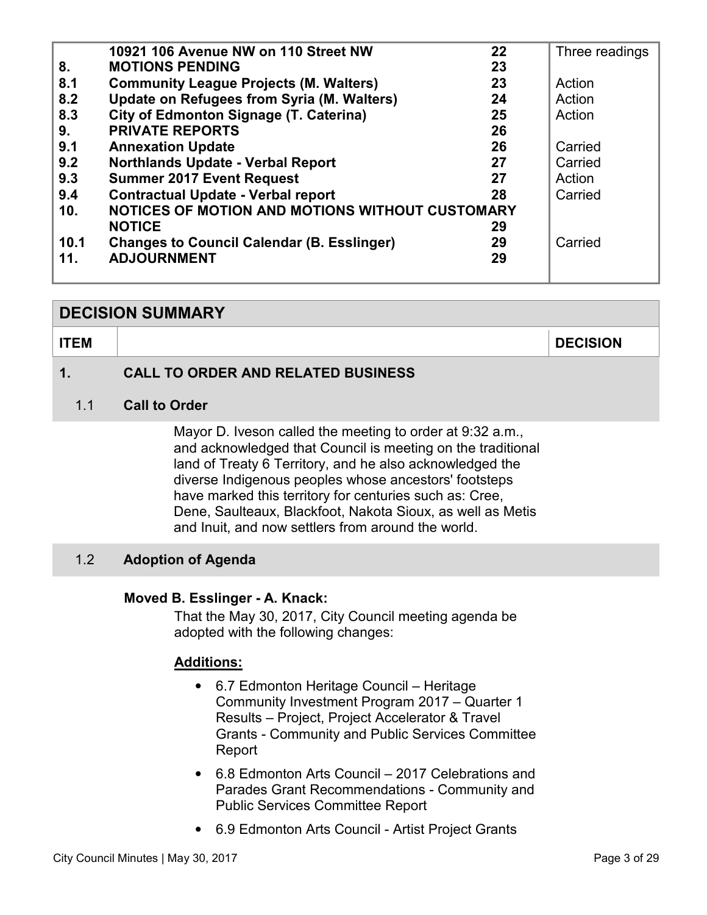<span id="page-2-0"></span>

|                 | 10921 106 Avenue NW on 110 Street NW<br>22              | Three readings |
|-----------------|---------------------------------------------------------|----------------|
| 8.              | <b>MOTIONS PENDING</b><br>23                            |                |
| 8.1             | <b>Community League Projects (M. Walters)</b><br>23     | Action         |
| 8.2             | Update on Refugees from Syria (M. Walters)<br>24        | Action         |
| 8.3             | <b>City of Edmonton Signage (T. Caterina)</b><br>25     | Action         |
| 9.              | <b>PRIVATE REPORTS</b><br>26                            |                |
| 9.1             | <b>Annexation Update</b><br>26                          | Carried        |
| 9.2             | Northlands Update - Verbal Report<br>27                 | Carried        |
| 9.3             | <b>Summer 2017 Event Request</b><br>27                  | Action         |
| 9.4             | <b>Contractual Update - Verbal report</b><br>28         | Carried        |
| 10 <sub>1</sub> | NOTICES OF MOTION AND MOTIONS WITHOUT CUSTOMARY         |                |
|                 | <b>NOTICE</b><br>29                                     |                |
| 10.1            | <b>Changes to Council Calendar (B. Esslinger)</b><br>29 | Carried        |
| 11.             | <b>ADJOURNMENT</b><br>29                                |                |
|                 |                                                         |                |

## **DECISION SUMMARY**

**ITEM DECISION** 

## **1. CALL TO ORDER AND RELATED BUSINESS**

#### 1.1 **Call to Order**

Mayor D. Iveson called the meeting to order at 9:32 a.m., and acknowledged that Council is meeting on the traditional land of Treaty 6 Territory, and he also acknowledged the diverse Indigenous peoples whose ancestors' footsteps have marked this territory for centuries such as: Cree, Dene, Saulteaux, Blackfoot, Nakota Sioux, as well as Metis and Inuit, and now settlers from around the world.

## 1.2 **Adoption of Agenda**

#### **Moved B. Esslinger - A. Knack:**

That the May 30, 2017, City Council meeting agenda be adopted with the following changes:

## **Additions:**

- 6.7 Edmonton Heritage Council Heritage Community Investment Program 2017 – Quarter 1 Results – Project, Project Accelerator & Travel Grants - Community and Public Services Committee Report
- 6.8 Edmonton Arts Council 2017 Celebrations and Parades Grant Recommendations - Community and Public Services Committee Report
- 6.9 Edmonton Arts Council Artist Project Grants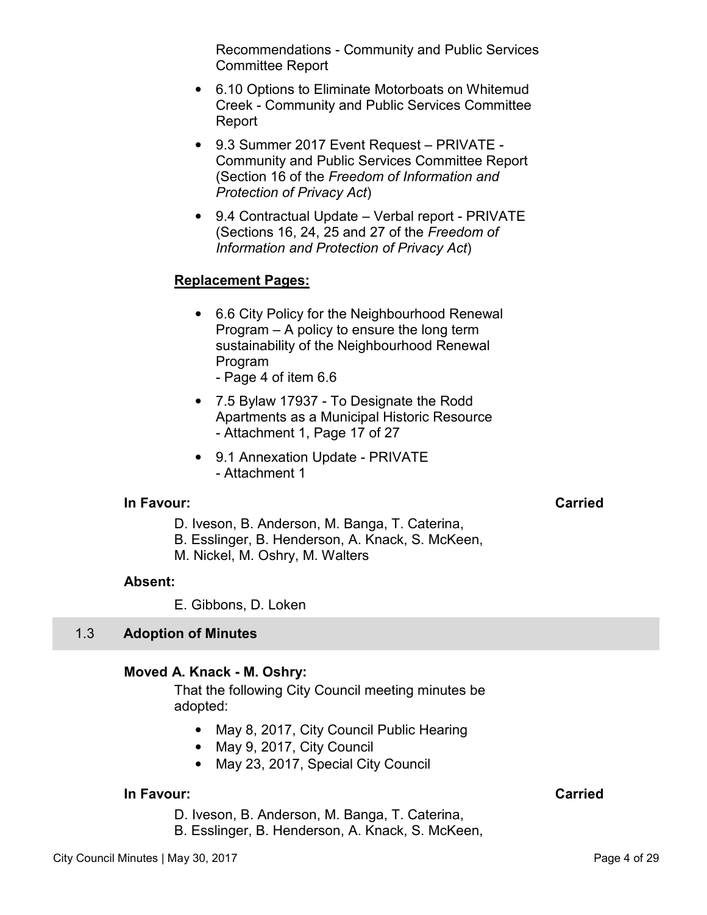Recommendations - Community and Public Services Committee Report

- <span id="page-3-0"></span>• 6.10 Options to Eliminate Motorboats on Whitemud Creek - Community and Public Services Committee Report
- 9.3 Summer 2017 Event Request PRIVATE Community and Public Services Committee Report (Section 16 of the *Freedom of Information and Protection of Privacy Act*)
- 9.4 Contractual Update Verbal report PRIVATE (Sections 16, 24, 25 and 27 of the *Freedom of Information and Protection of Privacy Act*)

## **Replacement Pages:**

- 6.6 City Policy for the Neighbourhood Renewal Program – A policy to ensure the long term sustainability of the Neighbourhood Renewal Program
	- Page 4 of item 6.6
- 7.5 Bylaw 17937 To Designate the Rodd Apartments as a Municipal Historic Resource - Attachment 1, Page 17 of 27
- 9.1 Annexation Update PRIVATE - Attachment 1

#### **In Favour:** Carried Carried Carried Carried Carried Carried Carried Carried Carried Carried Carried Carried Carried Carried Carried Carried Carried Carried Carried Carried Carried Carried Carried Carried Carried Carried C

- D. Iveson, B. Anderson, M. Banga, T. Caterina,
- B. Esslinger, B. Henderson, A. Knack, S. McKeen,
- M. Nickel, M. Oshry, M. Walters

#### **Absent:**

E. Gibbons, D. Loken

## 1.3 **Adoption of Minutes**

## **Moved A. Knack - M. Oshry:**

That the following City Council meeting minutes be adopted:

- May 8, 2017, City Council Public Hearing
- May 9, 2017, City Council
- May 23, 2017, Special City Council

## **In Favour: Carried**

D. Iveson, B. Anderson, M. Banga, T. Caterina,

B. Esslinger, B. Henderson, A. Knack, S. McKeen,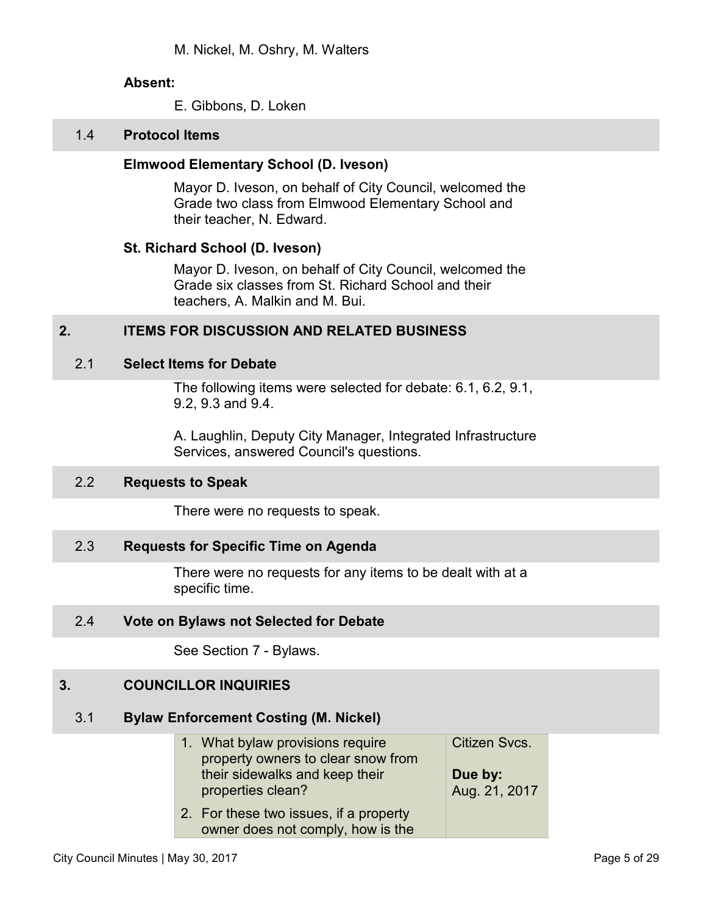E. Gibbons, D. Loken

#### <span id="page-4-0"></span>1.4 **Protocol Items**

#### **Elmwood Elementary School (D. Iveson)**

Mayor D. Iveson, on behalf of City Council, welcomed the Grade two class from Elmwood Elementary School and their teacher, N. Edward.

#### **St. Richard School (D. Iveson)**

Mayor D. Iveson, on behalf of City Council, welcomed the Grade six classes from St. Richard School and their teachers, A. Malkin and M. Bui.

## **2. ITEMS FOR DISCUSSION AND RELATED BUSINESS**

#### 2.1 **Select Items for Debate**

The following items were selected for debate: 6.1, 6.2, 9.1, 9.2, 9.3 and 9.4.

A. Laughlin, Deputy City Manager, Integrated Infrastructure Services, answered Council's questions.

#### 2.2 **Requests to Speak**

There were no requests to speak.

## 2.3 **Requests for Specific Time on Agenda**

There were no requests for any items to be dealt with at a specific time.

#### 2.4 **Vote on Bylaws not Selected for Debate**

See Section 7 - Bylaws.

## **3. COUNCILLOR INQUIRIES**

#### 3.1 **Bylaw Enforcement Costing (M. Nickel)**

| 1. What bylaw provisions require<br>property owners to clear snow from      | Citizen Svcs.            |
|-----------------------------------------------------------------------------|--------------------------|
| their sidewalks and keep their<br>properties clean?                         | Due by:<br>Aug. 21, 2017 |
| 2. For these two issues, if a property<br>owner does not comply, how is the |                          |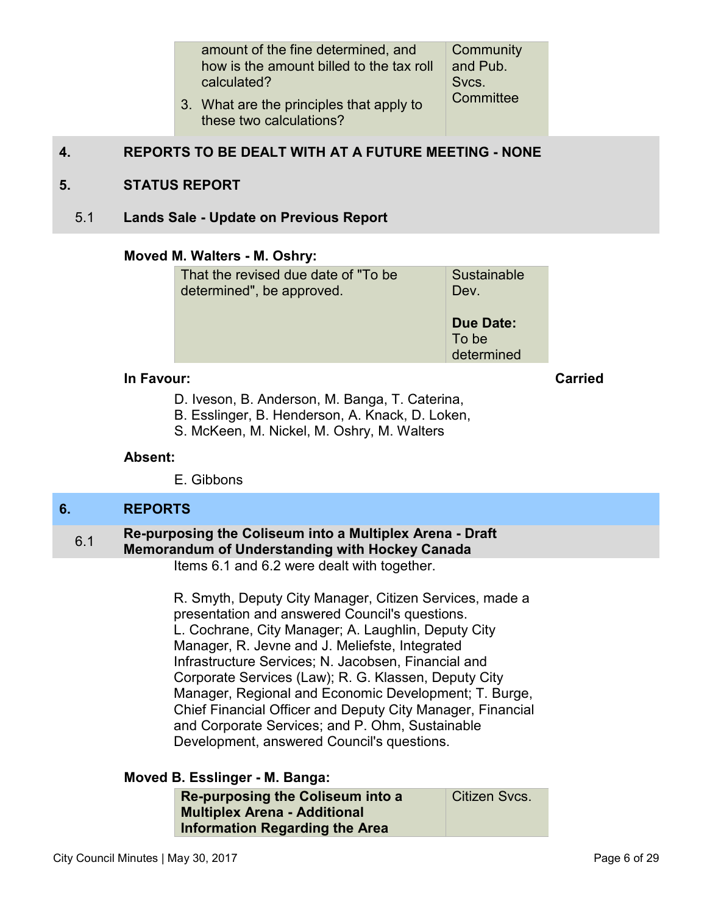amount of the fine determined, and how is the amount billed to the tax roll calculated? **Community** and Pub. Svcs. **Committee** 

3. What are the principles that apply to these two calculations?

## <span id="page-5-0"></span>**4. REPORTS TO BE DEALT WITH AT A FUTURE MEETING - NONE**

## **5. STATUS REPORT**

5.1 **Lands Sale - Update on Previous Report** 

#### **Moved M. Walters - M. Oshry:**

| That the revised due date of "To be" | Sustainable                             |
|--------------------------------------|-----------------------------------------|
| determined", be approved.            | Dev.                                    |
|                                      | <b>Due Date:</b><br>To be<br>determined |

#### **In Favour: Carried**

D. Iveson, B. Anderson, M. Banga, T. Caterina,

- B. Esslinger, B. Henderson, A. Knack, D. Loken,
- S. McKeen, M. Nickel, M. Oshry, M. Walters

#### **Absent:**

E. Gibbons

#### **6. REPORTS**

## 6.1 **Re-purposing the Coliseum into a Multiplex Arena - Draft Memorandum of Understanding with Hockey Canada**

Items 6.1 and 6.2 were dealt with together.

R. Smyth, Deputy City Manager, Citizen Services, made a presentation and answered Council's questions. L. Cochrane, City Manager; A. Laughlin, Deputy City Manager, R. Jevne and J. Meliefste, Integrated Infrastructure Services; N. Jacobsen, Financial and Corporate Services (Law); R. G. Klassen, Deputy City Manager, Regional and Economic Development; T. Burge, Chief Financial Officer and Deputy City Manager, Financial and Corporate Services; and P. Ohm, Sustainable Development, answered Council's questions.

## **Moved B. Esslinger - M. Banga:**

| Re-purposing the Coliseum into a    | Citizen Svcs. |
|-------------------------------------|---------------|
| <b>Multiplex Arena - Additional</b> |               |
| Information Regarding the Area      |               |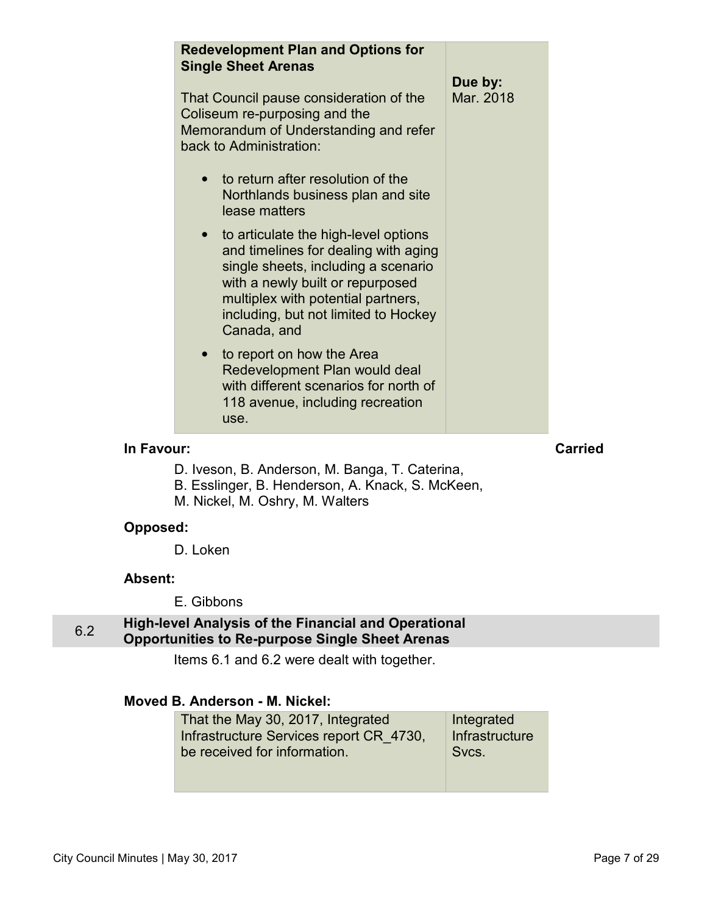<span id="page-6-0"></span>

| <b>Redevelopment Plan and Options for</b><br><b>Single Sheet Arenas</b>                                                                                                                                                                                           |                      |
|-------------------------------------------------------------------------------------------------------------------------------------------------------------------------------------------------------------------------------------------------------------------|----------------------|
| That Council pause consideration of the<br>Coliseum re-purposing and the<br>Memorandum of Understanding and refer<br>back to Administration:                                                                                                                      | Due by:<br>Mar. 2018 |
| • to return after resolution of the<br>Northlands business plan and site<br>lease matters                                                                                                                                                                         |                      |
| to articulate the high-level options<br>$\bullet$<br>and timelines for dealing with aging<br>single sheets, including a scenario<br>with a newly built or repurposed<br>multiplex with potential partners,<br>including, but not limited to Hockey<br>Canada, and |                      |
| to report on how the Area<br>$\bullet$<br>Redevelopment Plan would deal<br>with different scenarios for north of<br>118 avenue, including recreation<br>use.                                                                                                      |                      |

## **In Favour:** Carried

- D. Iveson, B. Anderson, M. Banga, T. Caterina,
- B. Esslinger, B. Henderson, A. Knack, S. McKeen,
- M. Nickel, M. Oshry, M. Walters

## **Opposed:**

D. Loken

#### **Absent:**

E. Gibbons

## 6.2 **High-level Analysis of the Financial and Operational Opportunities to Re-purpose Single Sheet Arenas**

Items 6.1 and 6.2 were dealt with together.

## **Moved B. Anderson - M. Nickel:**

| That the May 30, 2017, Integrated<br>Infrastructure Services report CR 4730, | Integrated<br>Infrastructure |
|------------------------------------------------------------------------------|------------------------------|
| be received for information.                                                 | Svcs.                        |
|                                                                              |                              |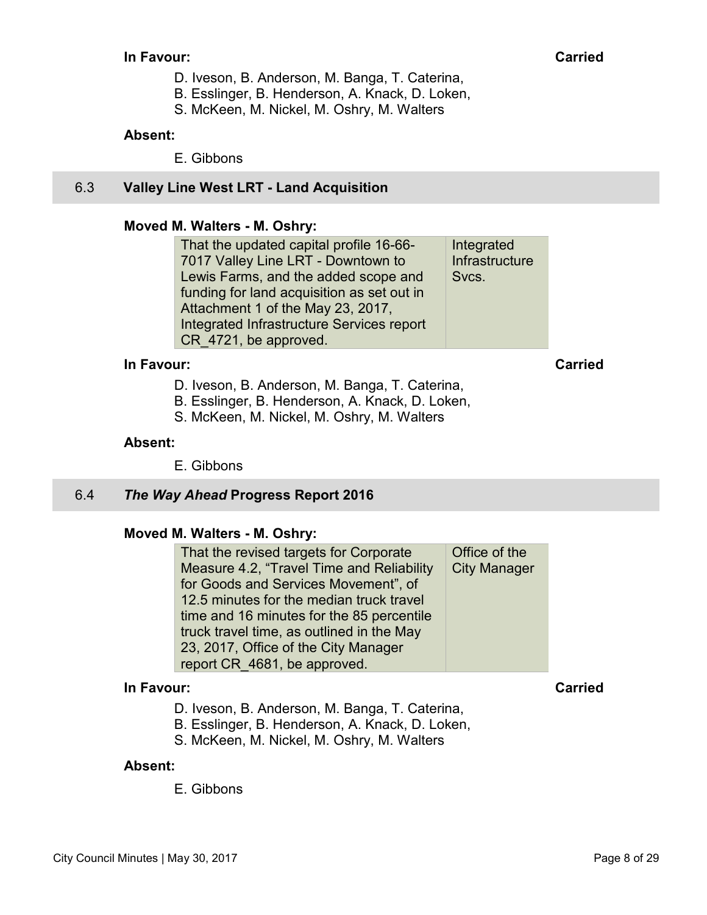#### <span id="page-7-0"></span>**In Favour:** Carried Carried Carried Carried Carried Carried Carried Carried Carried Carried Carried Carried Carried Carried Carried Carried Carried Carried Carried Carried Carried Carried Carried Carried Carried Carried C

- D. Iveson, B. Anderson, M. Banga, T. Caterina,
- B. Esslinger, B. Henderson, A. Knack, D. Loken,
- S. McKeen, M. Nickel, M. Oshry, M. Walters

#### **Absent:**

E. Gibbons

## 6.3 **Valley Line West LRT - Land Acquisition**

## **Moved M. Walters - M. Oshry:**

That the updated capital profile 16-66- 7017 Valley Line LRT - Downtown to Lewis Farms, and the added scope and funding for land acquisition as set out in Attachment 1 of the May 23, 2017, Integrated Infrastructure Services report CR\_4721, be approved. Integrated **Infrastructure** Svcs.

#### **In Favour: Carried**

- D. Iveson, B. Anderson, M. Banga, T. Caterina,
- B. Esslinger, B. Henderson, A. Knack, D. Loken,
- S. McKeen, M. Nickel, M. Oshry, M. Walters

#### **Absent:**

E. Gibbons

## 6.4 *The Way Ahead* **Progress Report 2016**

#### **Moved M. Walters - M. Oshry:**

That the revised targets for Corporate Measure 4.2, "Travel Time and Reliability for Goods and Services Movement", of 12.5 minutes for the median truck travel time and 16 minutes for the 85 percentile truck travel time, as outlined in the May 23, 2017, Office of the City Manager report CR\_4681, be approved. Office of the City Manager

#### **In Favour: Carried**

- D. Iveson, B. Anderson, M. Banga, T. Caterina,
- B. Esslinger, B. Henderson, A. Knack, D. Loken,
- S. McKeen, M. Nickel, M. Oshry, M. Walters

#### **Absent:**

E. Gibbons

City Council Minutes | May 30, 2017 Page 8 of 29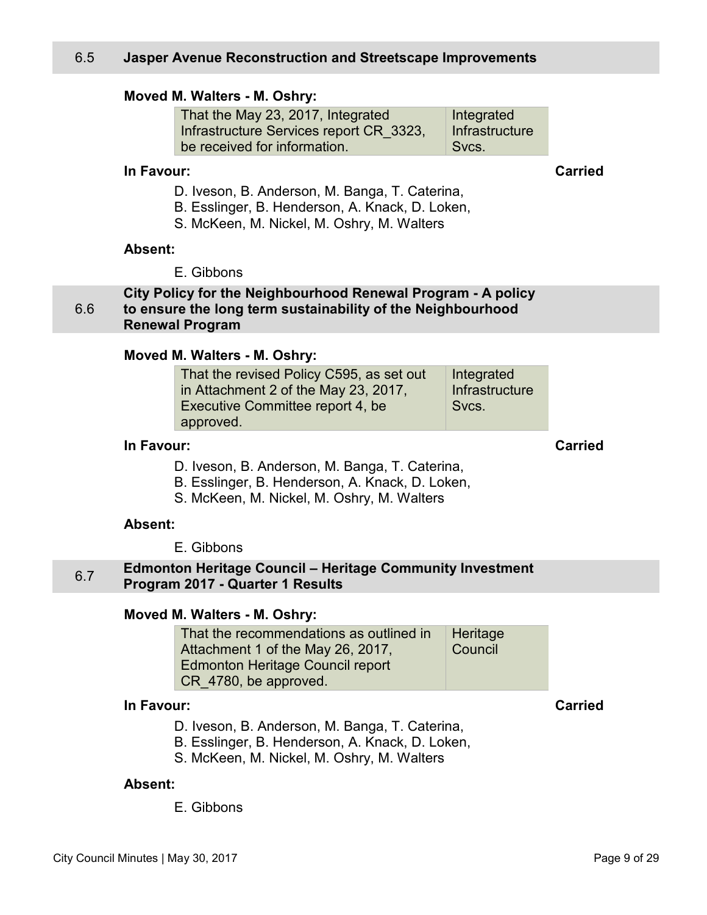#### <span id="page-8-0"></span>**Moved M. Walters - M. Oshry:**

That the May 23, 2017, Integrated Infrastructure Services report CR\_3323, be received for information. Integrated **Infrastructure** Svcs.

## **In Favour: Carried**

D. Iveson, B. Anderson, M. Banga, T. Caterina,

- B. Esslinger, B. Henderson, A. Knack, D. Loken,
- S. McKeen, M. Nickel, M. Oshry, M. Walters

#### **Absent:**

E. Gibbons

**City Policy for the Neighbourhood Renewal Program - A policy to ensure the long term sustainability of the Neighbourhood Renewal Program** 

#### **Moved M. Walters - M. Oshry:**

| That the revised Policy C595, as set out | Integrated     |
|------------------------------------------|----------------|
| in Attachment 2 of the May 23, 2017,     | Infrastructure |
| Executive Committee report 4, be         | Svcs.          |
| approved.                                |                |

## **In Favour: Carried**

- D. Iveson, B. Anderson, M. Banga, T. Caterina,
- B. Esslinger, B. Henderson, A. Knack, D. Loken,
- S. McKeen, M. Nickel, M. Oshry, M. Walters

#### **Absent:**

E. Gibbons

#### 6.7 **Edmonton Heritage Council – Heritage Community Investment Program 2017 - Quarter 1 Results**

#### **Moved M. Walters - M. Oshry:**

| That the recommendations as outlined in | <b>Heritage</b> |
|-----------------------------------------|-----------------|
| Attachment 1 of the May 26, 2017,       | Council         |
| Edmonton Heritage Council report        |                 |
| CR 4780, be approved.                   |                 |

#### **In Favour: Carried**

- D. Iveson, B. Anderson, M. Banga, T. Caterina,
- B. Esslinger, B. Henderson, A. Knack, D. Loken,
- S. McKeen, M. Nickel, M. Oshry, M. Walters

#### **Absent:**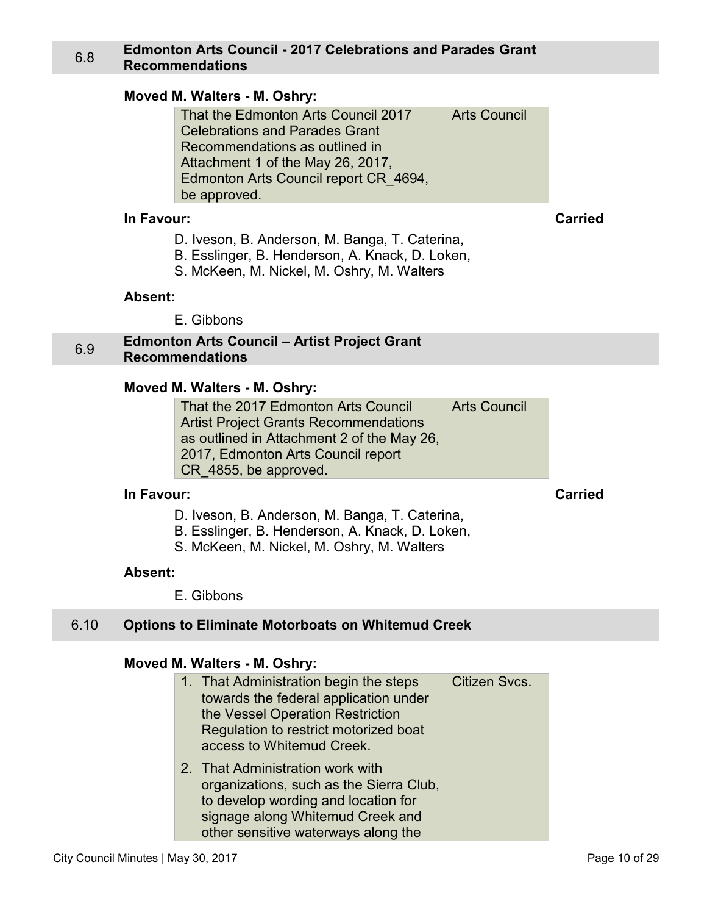## <span id="page-9-0"></span>6.8 **Edmonton Arts Council - 2017 Celebrations and Parades Grant Recommendations**

#### **Moved M. Walters - M. Oshry:**

| <b>Arts Council</b> |
|---------------------|
|                     |
|                     |
|                     |
|                     |
|                     |
|                     |

#### **In Favour: Carried**

- D. Iveson, B. Anderson, M. Banga, T. Caterina,
- B. Esslinger, B. Henderson, A. Knack, D. Loken,
- S. McKeen, M. Nickel, M. Oshry, M. Walters

#### **Absent:**

E. Gibbons

#### 6.9 **Edmonton Arts Council – Artist Project Grant Recommendations**

#### **Moved M. Walters - M. Oshry:**

| That the 2017 Edmonton Arts Council          | <b>Arts Council</b> |
|----------------------------------------------|---------------------|
| <b>Artist Project Grants Recommendations</b> |                     |
| as outlined in Attachment 2 of the May 26,   |                     |
| 2017, Edmonton Arts Council report           |                     |
| CR_4855, be approved.                        |                     |

## **In Favour: Carried**

- D. Iveson, B. Anderson, M. Banga, T. Caterina,
- B. Esslinger, B. Henderson, A. Knack, D. Loken,
- S. McKeen, M. Nickel, M. Oshry, M. Walters

#### **Absent:**

E. Gibbons

#### 6.10 **Options to Eliminate Motorboats on Whitemud Creek**

#### **Moved M. Walters - M. Oshry:**

| 1. That Administration begin the steps<br>towards the federal application under<br>the Vessel Operation Restriction<br>Regulation to restrict motorized boat<br>access to Whitemud Creek.     | Citizen Svcs. |
|-----------------------------------------------------------------------------------------------------------------------------------------------------------------------------------------------|---------------|
| 2. That Administration work with<br>organizations, such as the Sierra Club,<br>to develop wording and location for<br>signage along Whitemud Creek and<br>other sensitive waterways along the |               |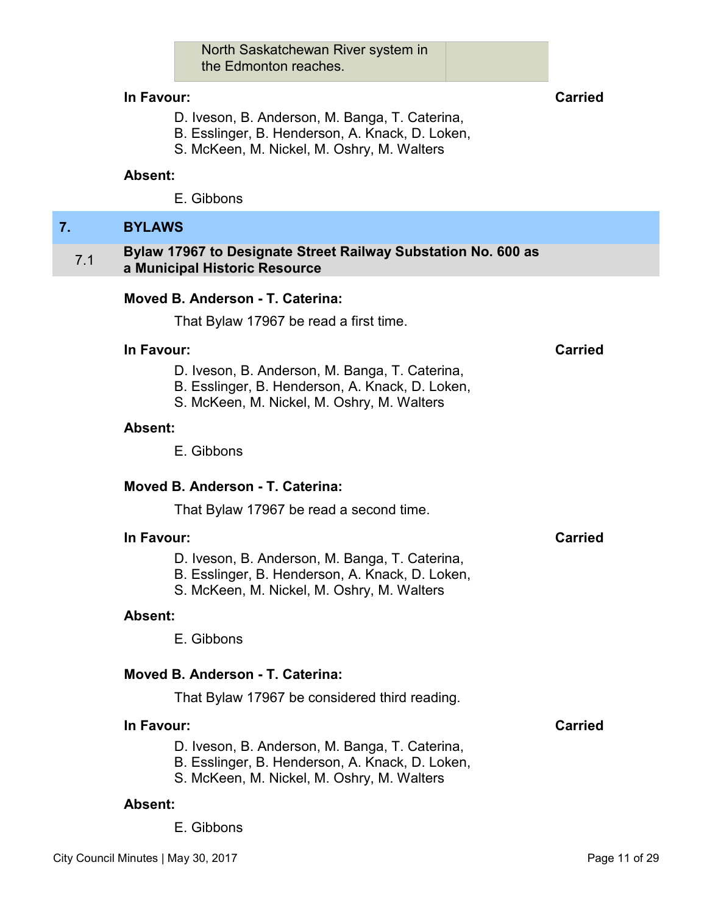North Saskatchewan River system in the Edmonton reaches.

#### <span id="page-10-0"></span>**In Favour: Carried**

- D. Iveson, B. Anderson, M. Banga, T. Caterina,
- B. Esslinger, B. Henderson, A. Knack, D. Loken,
- S. McKeen, M. Nickel, M. Oshry, M. Walters

#### **Absent:**

E. Gibbons

#### **7. BYLAWS**

#### 7.1 **Bylaw 17967 to Designate Street Railway Substation No. 600 as a Municipal Historic Resource**

## **Moved B. Anderson - T. Caterina:**

That Bylaw 17967 be read a first time.

#### **In Favour: Carried**

- D. Iveson, B. Anderson, M. Banga, T. Caterina,
- B. Esslinger, B. Henderson, A. Knack, D. Loken,
- S. McKeen, M. Nickel, M. Oshry, M. Walters

#### **Absent:**

E. Gibbons

#### **Moved B. Anderson - T. Caterina:**

That Bylaw 17967 be read a second time.

#### **In Favour: Carried**

- D. Iveson, B. Anderson, M. Banga, T. Caterina,
- B. Esslinger, B. Henderson, A. Knack, D. Loken,
- S. McKeen, M. Nickel, M. Oshry, M. Walters

#### **Absent:**

E. Gibbons

#### **Moved B. Anderson - T. Caterina:**

That Bylaw 17967 be considered third reading.

## **In Favour: Carried**

- D. Iveson, B. Anderson, M. Banga, T. Caterina,
- B. Esslinger, B. Henderson, A. Knack, D. Loken,
- S. McKeen, M. Nickel, M. Oshry, M. Walters

#### **Absent:**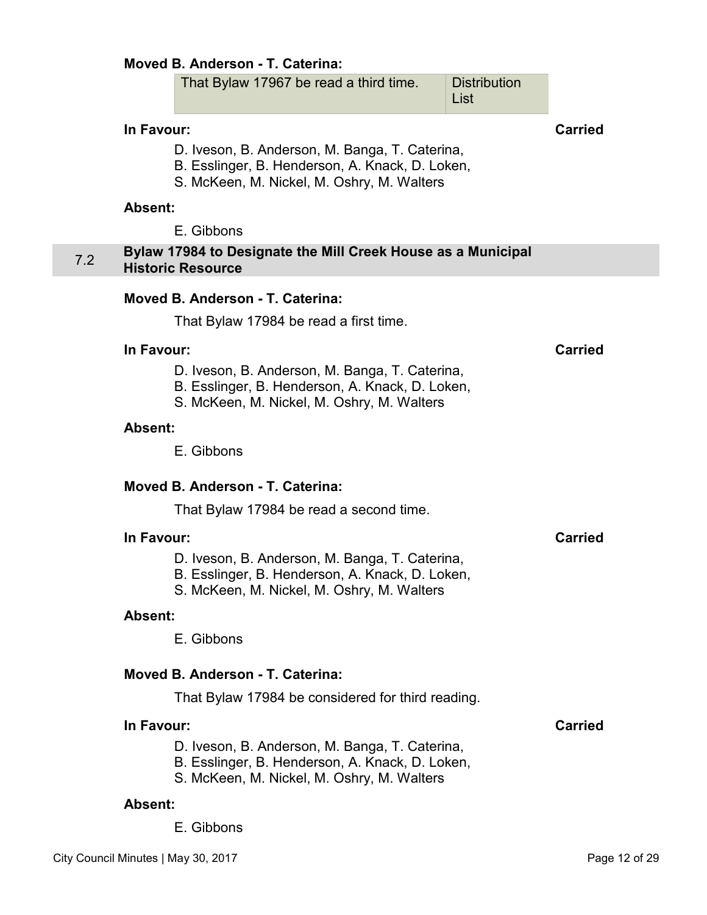#### <span id="page-11-0"></span>**Moved B. Anderson - T. Caterina:**

| That Bylaw 17967 be read a third time. | Distribution |
|----------------------------------------|--------------|
|                                        | ∣ List       |

#### **In Favour: Carried**

- D. Iveson, B. Anderson, M. Banga, T. Caterina,
- B. Esslinger, B. Henderson, A. Knack, D. Loken,
- S. McKeen, M. Nickel, M. Oshry, M. Walters

#### **Absent:**

E. Gibbons

## 7.2 **Bylaw 17984 to Designate the Mill Creek House as a Municipal Historic Resource**

#### **Moved B. Anderson - T. Caterina:**

That Bylaw 17984 be read a first time.

#### **In Favour: Carried**

- D. Iveson, B. Anderson, M. Banga, T. Caterina,
- B. Esslinger, B. Henderson, A. Knack, D. Loken,
- S. McKeen, M. Nickel, M. Oshry, M. Walters

#### **Absent:**

E. Gibbons

#### **Moved B. Anderson - T. Caterina:**

That Bylaw 17984 be read a second time.

#### **In Favour: Carried**

- D. Iveson, B. Anderson, M. Banga, T. Caterina,
- B. Esslinger, B. Henderson, A. Knack, D. Loken,
- S. McKeen, M. Nickel, M. Oshry, M. Walters

#### **Absent:**

E. Gibbons

#### **Moved B. Anderson - T. Caterina:**

That Bylaw 17984 be considered for third reading.

## **In Favour: Carried**

- D. Iveson, B. Anderson, M. Banga, T. Caterina,
- B. Esslinger, B. Henderson, A. Knack, D. Loken,
- S. McKeen, M. Nickel, M. Oshry, M. Walters

#### **Absent:**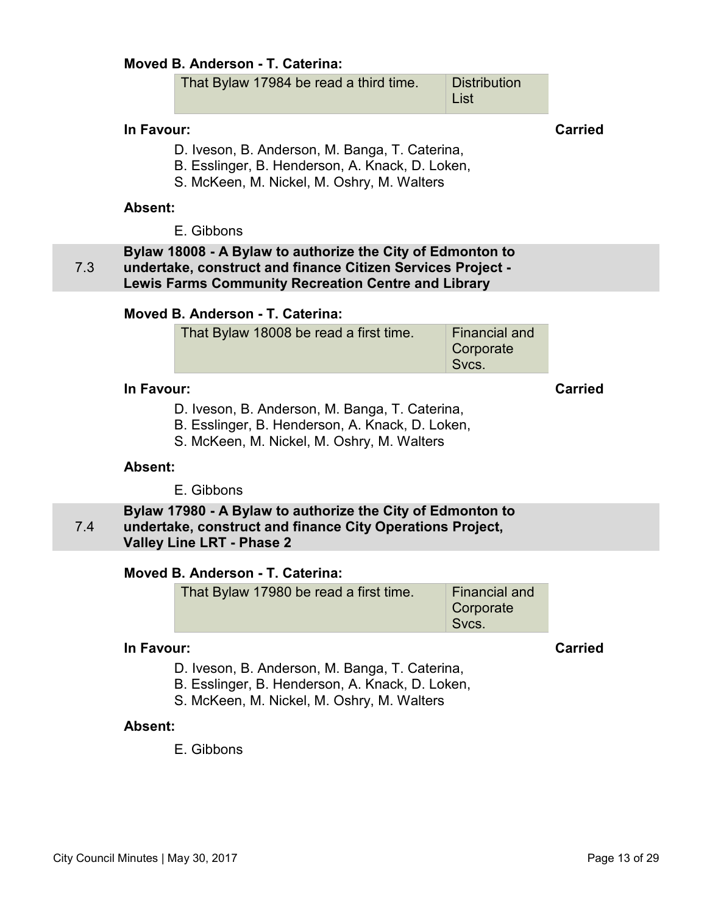## <span id="page-12-0"></span>**Moved B. Anderson - T. Caterina:**

| That Bylaw 17984 be read a third time. | Distribution |
|----------------------------------------|--------------|
|                                        | ∣ List       |

#### **In Favour: Carried**

- D. Iveson, B. Anderson, M. Banga, T. Caterina,
- B. Esslinger, B. Henderson, A. Knack, D. Loken,
- S. McKeen, M. Nickel, M. Oshry, M. Walters

#### **Absent:**

E. Gibbons

7.3 **Bylaw 18008 - A Bylaw to authorize the City of Edmonton to undertake, construct and finance Citizen Services Project - Lewis Farms Community Recreation Centre and Library**

#### **Moved B. Anderson - T. Caterina:**

## **In Favour: Carried**

D. Iveson, B. Anderson, M. Banga, T. Caterina,

- B. Esslinger, B. Henderson, A. Knack, D. Loken,
- S. McKeen, M. Nickel, M. Oshry, M. Walters

#### **Absent:**

E. Gibbons

7.4 **Bylaw 17980 - A Bylaw to authorize the City of Edmonton to undertake, construct and finance City Operations Project, Valley Line LRT - Phase 2** 

## **Moved B. Anderson - T. Caterina:**

| That Bylaw 17980 be read a first time. | Financial and |
|----------------------------------------|---------------|
|                                        | Corporate     |
|                                        | Svcs.         |

### **In Favour: Carried**

- D. Iveson, B. Anderson, M. Banga, T. Caterina,
- B. Esslinger, B. Henderson, A. Knack, D. Loken,
- S. McKeen, M. Nickel, M. Oshry, M. Walters

#### **Absent:**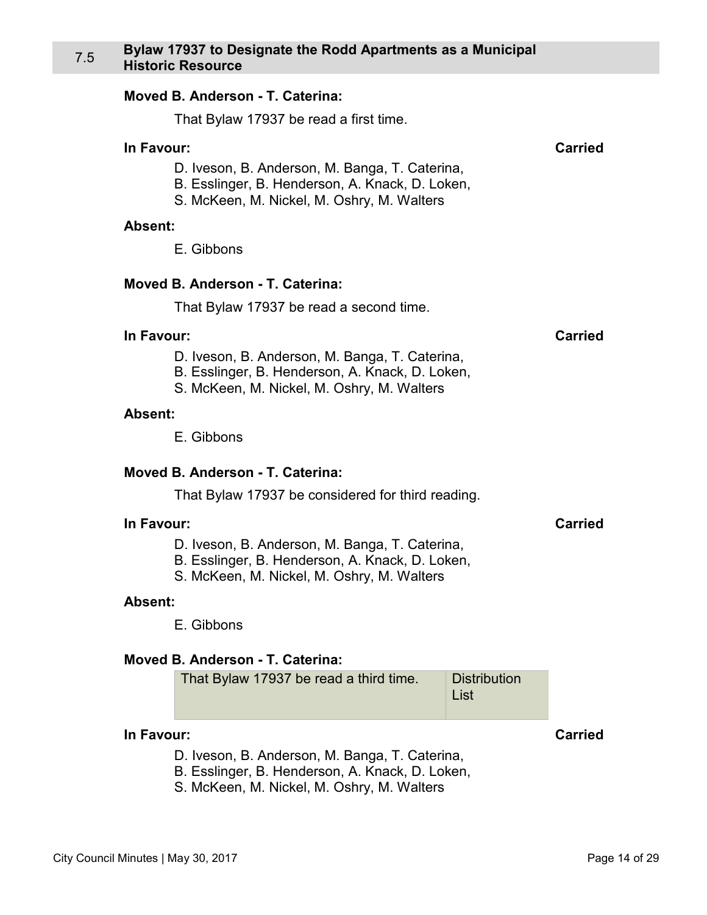#### <span id="page-13-0"></span>**Moved B. Anderson - T. Caterina:**

That Bylaw 17937 be read a first time.

#### **In Favour: Carried**

D. Iveson, B. Anderson, M. Banga, T. Caterina,

- B. Esslinger, B. Henderson, A. Knack, D. Loken,
	- S. McKeen, M. Nickel, M. Oshry, M. Walters

#### **Absent:**

E. Gibbons

#### **Moved B. Anderson - T. Caterina:**

That Bylaw 17937 be read a second time.

#### **In Favour: Carried**

- D. Iveson, B. Anderson, M. Banga, T. Caterina,
- B. Esslinger, B. Henderson, A. Knack, D. Loken,
- S. McKeen, M. Nickel, M. Oshry, M. Walters

#### **Absent:**

E. Gibbons

#### **Moved B. Anderson - T. Caterina:**

That Bylaw 17937 be considered for third reading.

#### **In Favour: Carried**

- D. Iveson, B. Anderson, M. Banga, T. Caterina,
- B. Esslinger, B. Henderson, A. Knack, D. Loken,
- S. McKeen, M. Nickel, M. Oshry, M. Walters

#### **Absent:**

E. Gibbons

#### **Moved B. Anderson - T. Caterina:**

| That Bylaw 17937 be read a third time. | Distribution |
|----------------------------------------|--------------|
|                                        | $\vert$ List |

#### **In Favour: Carried**

- D. Iveson, B. Anderson, M. Banga, T. Caterina,
- B. Esslinger, B. Henderson, A. Knack, D. Loken,
- S. McKeen, M. Nickel, M. Oshry, M. Walters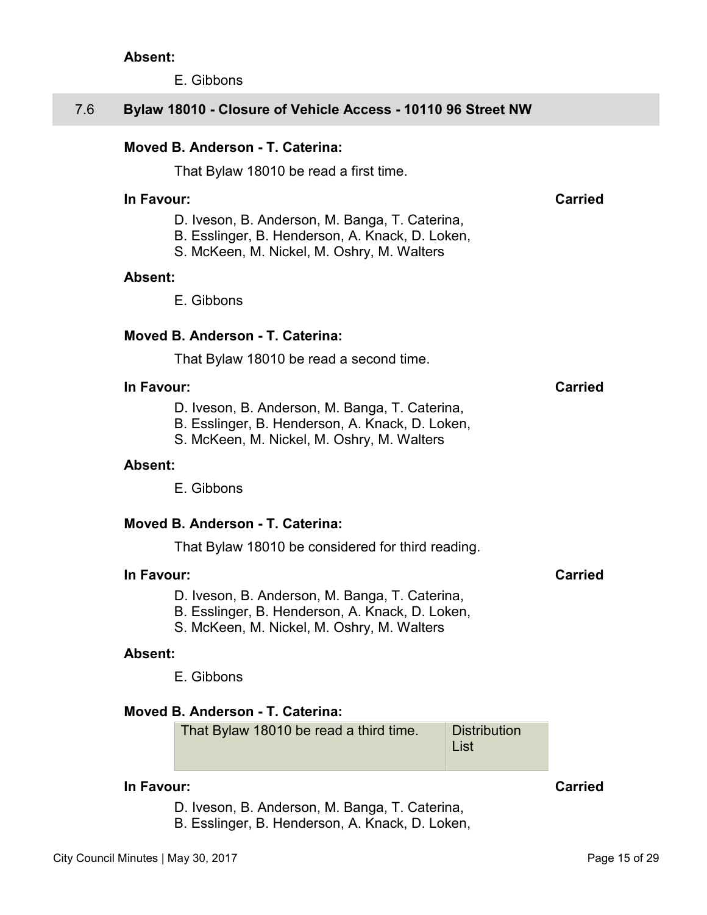E. Gibbons

## <span id="page-14-0"></span>7.6 **Bylaw 18010 - Closure of Vehicle Access - 10110 96 Street NW**

## **Moved B. Anderson - T. Caterina:**

That Bylaw 18010 be read a first time.

#### **In Favour: Carried**

D. Iveson, B. Anderson, M. Banga, T. Caterina,

- B. Esslinger, B. Henderson, A. Knack, D. Loken,
- S. McKeen, M. Nickel, M. Oshry, M. Walters

#### **Absent:**

E. Gibbons

#### **Moved B. Anderson - T. Caterina:**

That Bylaw 18010 be read a second time.

#### **In Favour: Carried**

D. Iveson, B. Anderson, M. Banga, T. Caterina,

- B. Esslinger, B. Henderson, A. Knack, D. Loken,
- S. McKeen, M. Nickel, M. Oshry, M. Walters

#### **Absent:**

E. Gibbons

#### **Moved B. Anderson - T. Caterina:**

That Bylaw 18010 be considered for third reading.

#### **In Favour: Carried**

- D. Iveson, B. Anderson, M. Banga, T. Caterina,
- B. Esslinger, B. Henderson, A. Knack, D. Loken,
- S. McKeen, M. Nickel, M. Oshry, M. Walters

#### **Absent:**

E. Gibbons

## **Moved B. Anderson - T. Caterina:**

That Bylaw 18010 be read a third time. Distribution List

## **In Favour: Carried**

D. Iveson, B. Anderson, M. Banga, T. Caterina,

B. Esslinger, B. Henderson, A. Knack, D. Loken,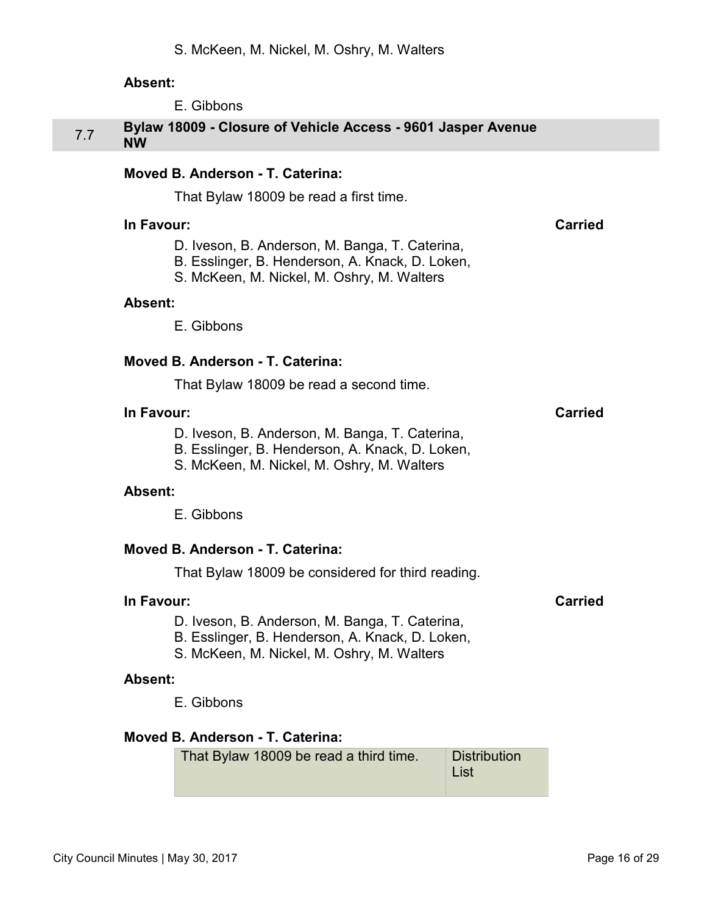E. Gibbons

## <span id="page-15-0"></span>7.7 **Bylaw 18009 - Closure of Vehicle Access - 9601 Jasper Avenue NW**

## **Moved B. Anderson - T. Caterina:**

That Bylaw 18009 be read a first time.

#### **In Favour: Carried**

- D. Iveson, B. Anderson, M. Banga, T. Caterina,
- B. Esslinger, B. Henderson, A. Knack, D. Loken,
- S. McKeen, M. Nickel, M. Oshry, M. Walters

#### **Absent:**

E. Gibbons

#### **Moved B. Anderson - T. Caterina:**

That Bylaw 18009 be read a second time.

#### **In Favour: Carried**

- D. Iveson, B. Anderson, M. Banga, T. Caterina,
- B. Esslinger, B. Henderson, A. Knack, D. Loken,
- S. McKeen, M. Nickel, M. Oshry, M. Walters

#### **Absent:**

E. Gibbons

## **Moved B. Anderson - T. Caterina:**

That Bylaw 18009 be considered for third reading.

#### **In Favour: Carried**

- D. Iveson, B. Anderson, M. Banga, T. Caterina,
- B. Esslinger, B. Henderson, A. Knack, D. Loken,
- S. McKeen, M. Nickel, M. Oshry, M. Walters

#### **Absent:**

E. Gibbons

## **Moved B. Anderson - T. Caterina:**

That Bylaw 18009 be read a third time. Distribution List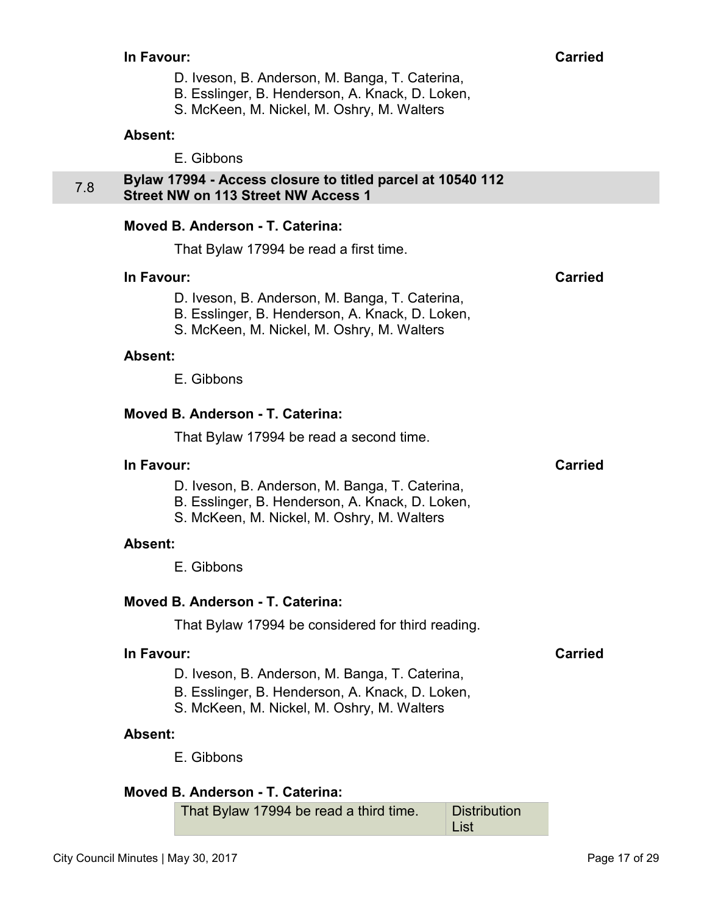- D. Iveson, B. Anderson, M. Banga, T. Caterina,
- B. Esslinger, B. Henderson, A. Knack, D. Loken,
- S. McKeen, M. Nickel, M. Oshry, M. Walters

E. Gibbons

#### <span id="page-16-0"></span>7.8 **Bylaw 17994 - Access closure to titled parcel at 10540 112 Street NW on 113 Street NW Access 1**

#### **Moved B. Anderson - T. Caterina:**

That Bylaw 17994 be read a first time.

#### **In Favour: Carried**

- D. Iveson, B. Anderson, M. Banga, T. Caterina,
- B. Esslinger, B. Henderson, A. Knack, D. Loken,
- S. McKeen, M. Nickel, M. Oshry, M. Walters

#### **Absent:**

E. Gibbons

#### **Moved B. Anderson - T. Caterina:**

That Bylaw 17994 be read a second time.

#### **In Favour: Carried**

- D. Iveson, B. Anderson, M. Banga, T. Caterina,
- B. Esslinger, B. Henderson, A. Knack, D. Loken,
- S. McKeen, M. Nickel, M. Oshry, M. Walters

#### **Absent:**

E. Gibbons

## **Moved B. Anderson - T. Caterina:**

That Bylaw 17994 be considered for third reading.

#### **In Favour: Carried**

- D. Iveson, B. Anderson, M. Banga, T. Caterina,
- B. Esslinger, B. Henderson, A. Knack, D. Loken,
- S. McKeen, M. Nickel, M. Oshry, M. Walters

#### **Absent:**

E. Gibbons

## **Moved B. Anderson - T. Caterina:**

That Bylaw 17994 be read a third time. Distribution List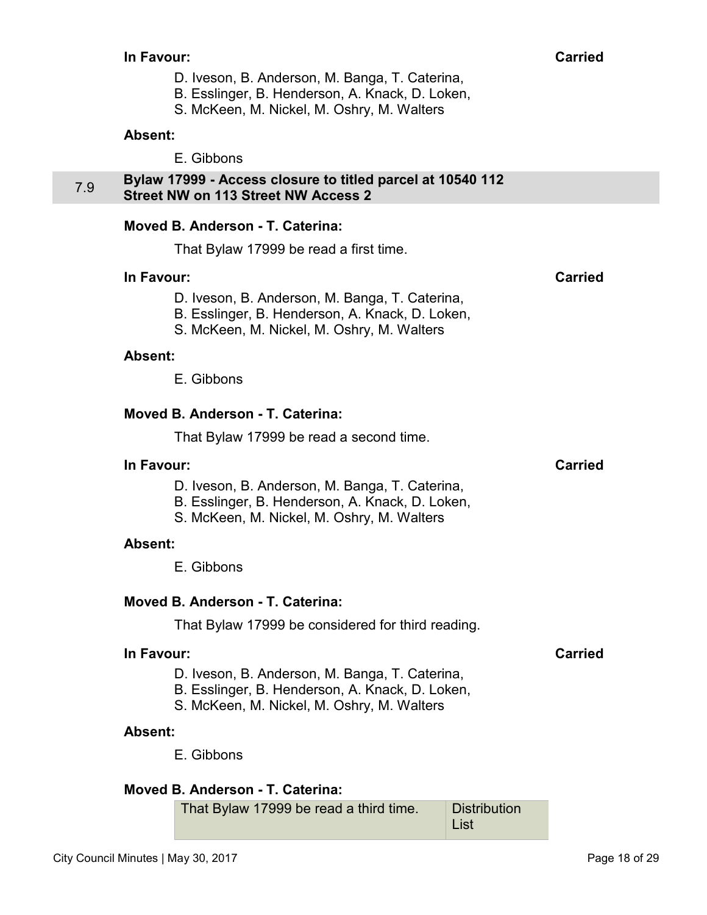- D. Iveson, B. Anderson, M. Banga, T. Caterina,
- B. Esslinger, B. Henderson, A. Knack, D. Loken,
- S. McKeen, M. Nickel, M. Oshry, M. Walters

E. Gibbons

#### <span id="page-17-0"></span>7.9 **Bylaw 17999 - Access closure to titled parcel at 10540 112 Street NW on 113 Street NW Access 2**

## **Moved B. Anderson - T. Caterina:**

That Bylaw 17999 be read a first time.

#### **In Favour: Carried**

- D. Iveson, B. Anderson, M. Banga, T. Caterina,
- B. Esslinger, B. Henderson, A. Knack, D. Loken,
- S. McKeen, M. Nickel, M. Oshry, M. Walters

#### **Absent:**

E. Gibbons

#### **Moved B. Anderson - T. Caterina:**

That Bylaw 17999 be read a second time.

#### **In Favour: Carried**

- D. Iveson, B. Anderson, M. Banga, T. Caterina,
- B. Esslinger, B. Henderson, A. Knack, D. Loken,
- S. McKeen, M. Nickel, M. Oshry, M. Walters

#### **Absent:**

E. Gibbons

## **Moved B. Anderson - T. Caterina:**

That Bylaw 17999 be considered for third reading.

#### **In Favour: Carried**

- D. Iveson, B. Anderson, M. Banga, T. Caterina,
- B. Esslinger, B. Henderson, A. Knack, D. Loken,
- S. McKeen, M. Nickel, M. Oshry, M. Walters

#### **Absent:**

E. Gibbons

## **Moved B. Anderson - T. Caterina:**

That Bylaw 17999 be read a third time. Distribution List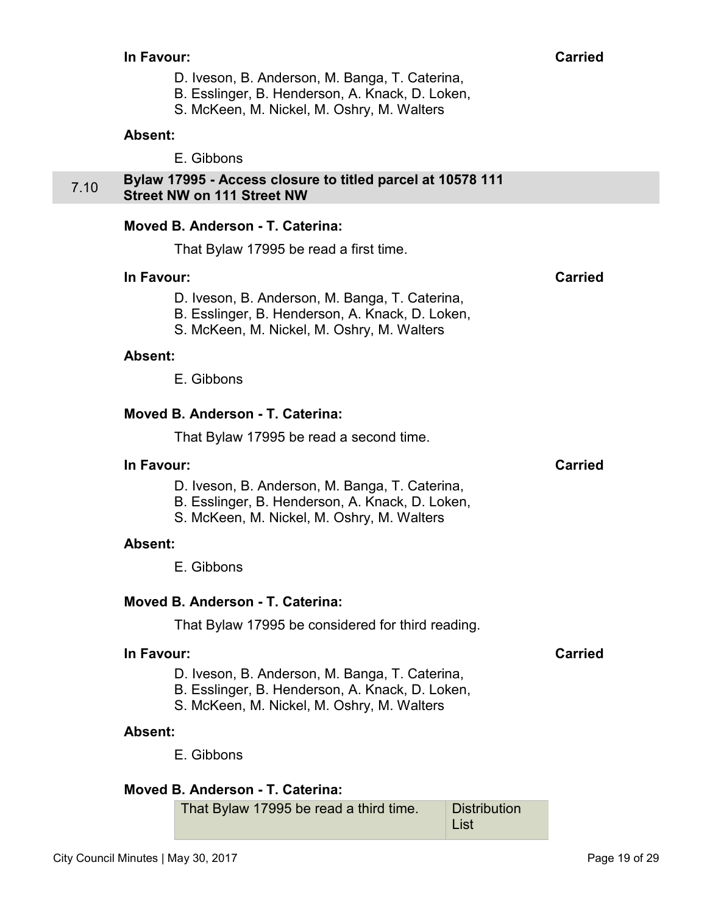- D. Iveson, B. Anderson, M. Banga, T. Caterina,
- B. Esslinger, B. Henderson, A. Knack, D. Loken,
- S. McKeen, M. Nickel, M. Oshry, M. Walters

E. Gibbons

#### <span id="page-18-0"></span>7.10 **Bylaw 17995 - Access closure to titled parcel at 10578 111 Street NW on 111 Street NW**

## **Moved B. Anderson - T. Caterina:**

That Bylaw 17995 be read a first time.

#### **In Favour: Carried**

- D. Iveson, B. Anderson, M. Banga, T. Caterina,
- B. Esslinger, B. Henderson, A. Knack, D. Loken,
- S. McKeen, M. Nickel, M. Oshry, M. Walters

#### **Absent:**

E. Gibbons

#### **Moved B. Anderson - T. Caterina:**

That Bylaw 17995 be read a second time.

#### **In Favour: Carried**

- D. Iveson, B. Anderson, M. Banga, T. Caterina,
- B. Esslinger, B. Henderson, A. Knack, D. Loken,
- S. McKeen, M. Nickel, M. Oshry, M. Walters

#### **Absent:**

E. Gibbons

## **Moved B. Anderson - T. Caterina:**

That Bylaw 17995 be considered for third reading.

#### **In Favour: Carried**

- D. Iveson, B. Anderson, M. Banga, T. Caterina,
- B. Esslinger, B. Henderson, A. Knack, D. Loken,
- S. McKeen, M. Nickel, M. Oshry, M. Walters

#### **Absent:**

E. Gibbons

## **Moved B. Anderson - T. Caterina:**

That Bylaw 17995 be read a third time. Distribution List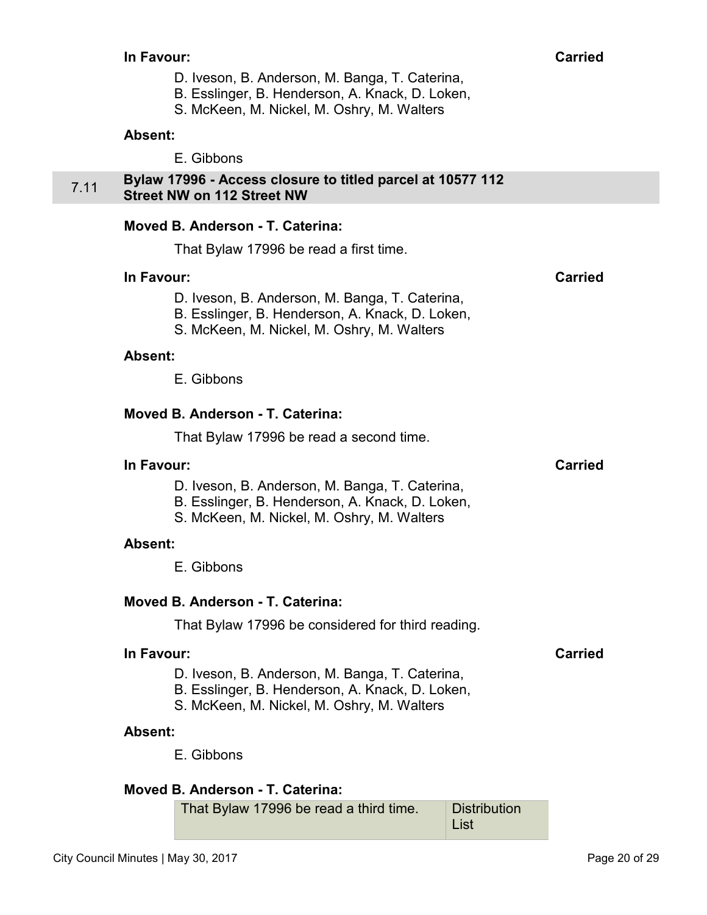- D. Iveson, B. Anderson, M. Banga, T. Caterina,
- B. Esslinger, B. Henderson, A. Knack, D. Loken,
- S. McKeen, M. Nickel, M. Oshry, M. Walters

E. Gibbons

#### <span id="page-19-0"></span>7.11 **Bylaw 17996 - Access closure to titled parcel at 10577 112 Street NW on 112 Street NW**

#### **Moved B. Anderson - T. Caterina:**

That Bylaw 17996 be read a first time.

#### **In Favour: Carried**

- D. Iveson, B. Anderson, M. Banga, T. Caterina,
- B. Esslinger, B. Henderson, A. Knack, D. Loken,
- S. McKeen, M. Nickel, M. Oshry, M. Walters

#### **Absent:**

E. Gibbons

#### **Moved B. Anderson - T. Caterina:**

That Bylaw 17996 be read a second time.

#### **In Favour: Carried**

- D. Iveson, B. Anderson, M. Banga, T. Caterina,
- B. Esslinger, B. Henderson, A. Knack, D. Loken,
- S. McKeen, M. Nickel, M. Oshry, M. Walters

#### **Absent:**

E. Gibbons

## **Moved B. Anderson - T. Caterina:**

That Bylaw 17996 be considered for third reading.

#### **In Favour: Carried**

- D. Iveson, B. Anderson, M. Banga, T. Caterina,
- B. Esslinger, B. Henderson, A. Knack, D. Loken,
- S. McKeen, M. Nickel, M. Oshry, M. Walters

#### **Absent:**

E. Gibbons

## **Moved B. Anderson - T. Caterina:**

That Bylaw 17996 be read a third time. Distribution List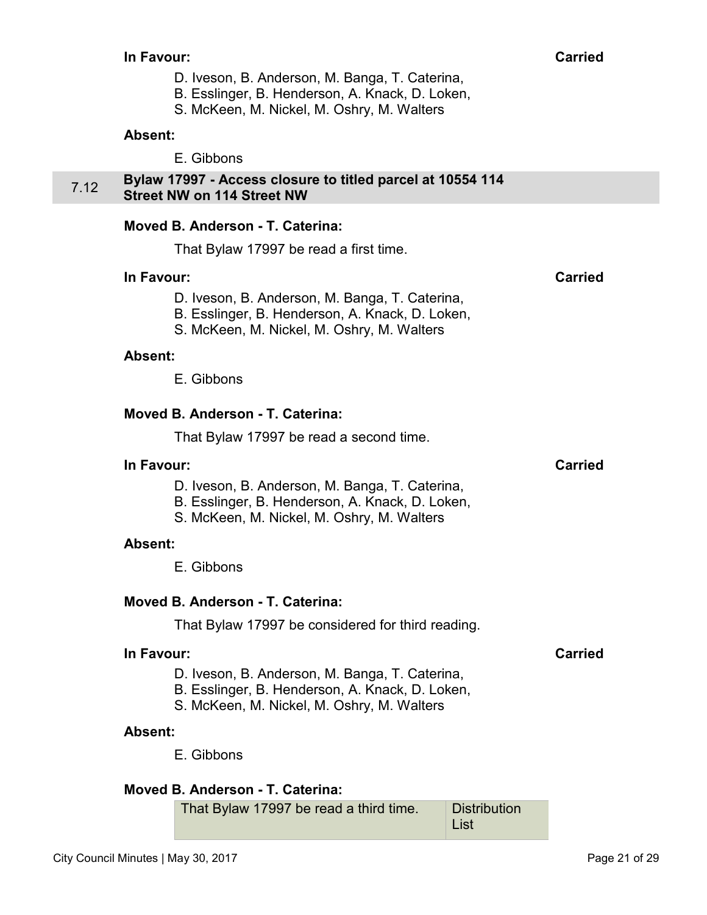- D. Iveson, B. Anderson, M. Banga, T. Caterina,
- B. Esslinger, B. Henderson, A. Knack, D. Loken,
- S. McKeen, M. Nickel, M. Oshry, M. Walters

E. Gibbons

#### <span id="page-20-0"></span>7.12 **Bylaw 17997 - Access closure to titled parcel at 10554 114 Street NW on 114 Street NW**

#### **Moved B. Anderson - T. Caterina:**

That Bylaw 17997 be read a first time.

#### **In Favour: Carried**

- D. Iveson, B. Anderson, M. Banga, T. Caterina,
- B. Esslinger, B. Henderson, A. Knack, D. Loken,
- S. McKeen, M. Nickel, M. Oshry, M. Walters

#### **Absent:**

E. Gibbons

#### **Moved B. Anderson - T. Caterina:**

That Bylaw 17997 be read a second time.

#### **In Favour: Carried**

- D. Iveson, B. Anderson, M. Banga, T. Caterina,
- B. Esslinger, B. Henderson, A. Knack, D. Loken,
- S. McKeen, M. Nickel, M. Oshry, M. Walters

#### **Absent:**

E. Gibbons

## **Moved B. Anderson - T. Caterina:**

That Bylaw 17997 be considered for third reading.

#### **In Favour: Carried**

- D. Iveson, B. Anderson, M. Banga, T. Caterina,
- B. Esslinger, B. Henderson, A. Knack, D. Loken,
- S. McKeen, M. Nickel, M. Oshry, M. Walters

#### **Absent:**

E. Gibbons

## **Moved B. Anderson - T. Caterina:**

That Bylaw 17997 be read a third time. Distribution List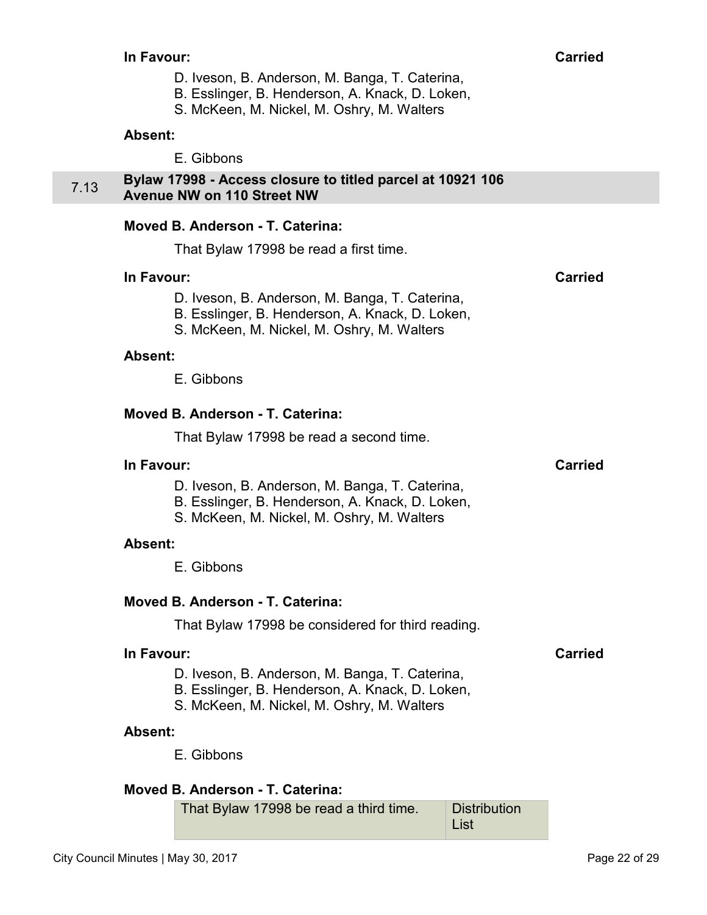- D. Iveson, B. Anderson, M. Banga, T. Caterina,
- B. Esslinger, B. Henderson, A. Knack, D. Loken,
- S. McKeen, M. Nickel, M. Oshry, M. Walters

E. Gibbons

#### <span id="page-21-0"></span>7.13 **Bylaw 17998 - Access closure to titled parcel at 10921 106 Avenue NW on 110 Street NW**

## **Moved B. Anderson - T. Caterina:**

That Bylaw 17998 be read a first time.

#### **In Favour: Carried**

- D. Iveson, B. Anderson, M. Banga, T. Caterina, B. Esslinger, B. Henderson, A. Knack, D. Loken,
- S. McKeen, M. Nickel, M. Oshry, M. Walters
- 

#### **Absent:**

E. Gibbons

## **Moved B. Anderson - T. Caterina:**

That Bylaw 17998 be read a second time.

#### **In Favour: Carried**

- D. Iveson, B. Anderson, M. Banga, T. Caterina,
- B. Esslinger, B. Henderson, A. Knack, D. Loken,
- S. McKeen, M. Nickel, M. Oshry, M. Walters

#### **Absent:**

E. Gibbons

## **Moved B. Anderson - T. Caterina:**

That Bylaw 17998 be considered for third reading.

#### **In Favour: Carried**

- D. Iveson, B. Anderson, M. Banga, T. Caterina,
- B. Esslinger, B. Henderson, A. Knack, D. Loken,
- S. McKeen, M. Nickel, M. Oshry, M. Walters

#### **Absent:**

E. Gibbons

## **Moved B. Anderson - T. Caterina:**

That Bylaw 17998 be read a third time. Distribution List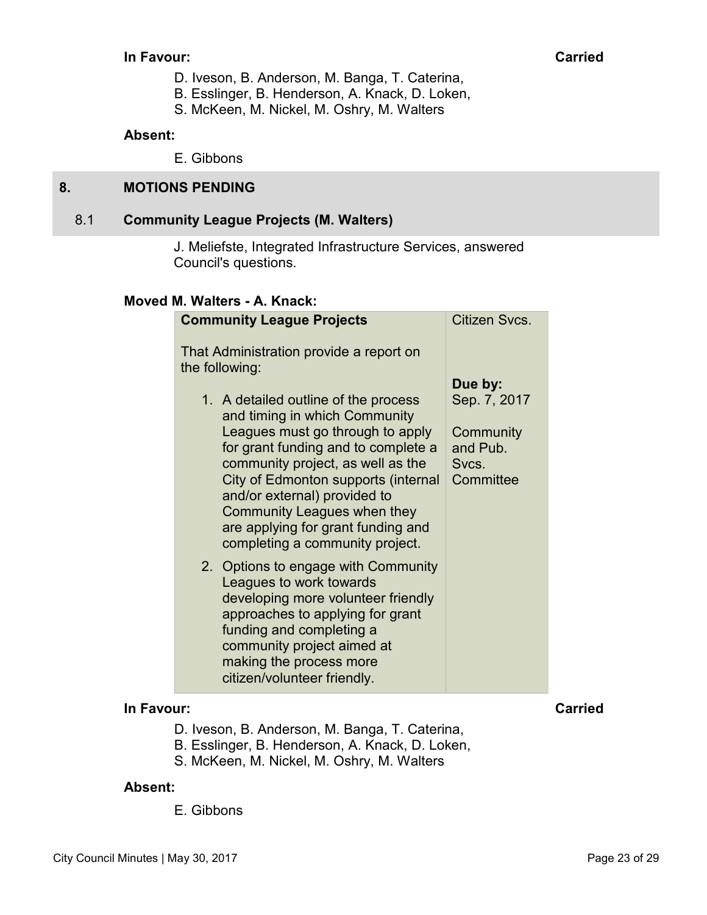#### <span id="page-22-0"></span>**In Favour: Carried**

- D. Iveson, B. Anderson, M. Banga, T. Caterina,
- B. Esslinger, B. Henderson, A. Knack, D. Loken,
- S. McKeen, M. Nickel, M. Oshry, M. Walters

#### **Absent:**

E. Gibbons

## **8. MOTIONS PENDING**

#### 8.1 **Community League Projects (M. Walters)**

J. Meliefste, Integrated Infrastructure Services, answered Council's questions.

## **Moved M. Walters - A. Knack:**

| <b>Community League Projects</b>                                                                                                                                                                                                                             | Citizen Svcs.                                             |
|--------------------------------------------------------------------------------------------------------------------------------------------------------------------------------------------------------------------------------------------------------------|-----------------------------------------------------------|
| That Administration provide a report on<br>the following:<br>1. A detailed outline of the process<br>and timing in which Community<br>Leagues must go through to apply<br>for grant funding and to complete a<br>community project, as well as the           | Due by:<br>Sep. 7, 2017<br>Community<br>and Pub.<br>Svcs. |
| City of Edmonton supports (internal<br>and/or external) provided to<br>Community Leagues when they<br>are applying for grant funding and<br>completing a community project.                                                                                  | Committee                                                 |
| 2. Options to engage with Community<br>Leagues to work towards<br>developing more volunteer friendly<br>approaches to applying for grant<br>funding and completing a<br>community project aimed at<br>making the process more<br>citizen/volunteer friendly. |                                                           |

## **In Favour: Carried**

- D. Iveson, B. Anderson, M. Banga, T. Caterina,
- B. Esslinger, B. Henderson, A. Knack, D. Loken,
- S. McKeen, M. Nickel, M. Oshry, M. Walters

#### **Absent:**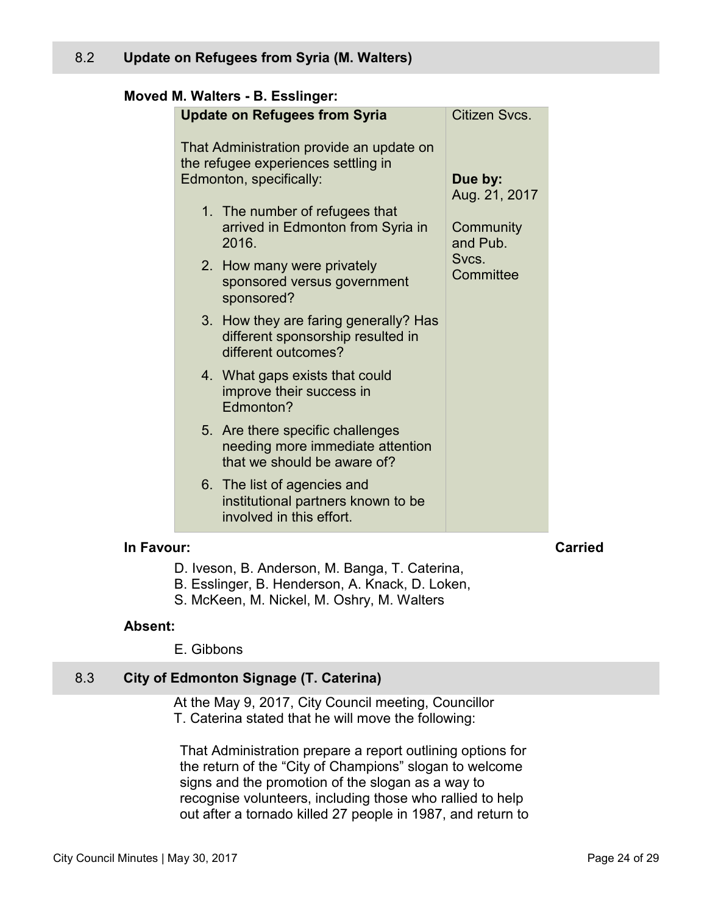## <span id="page-23-0"></span>**Moved M. Walters - B. Esslinger:**

|            | <b>Update on Refugees from Syria</b>                                                                       | Citizen Svcs.                          |                |
|------------|------------------------------------------------------------------------------------------------------------|----------------------------------------|----------------|
|            | That Administration provide an update on<br>the refugee experiences settling in<br>Edmonton, specifically: | Due by:                                |                |
|            | 1. The number of refugees that<br>arrived in Edmonton from Syria in<br>2016.                               | Aug. 21, 2017<br>Community<br>and Pub. |                |
|            | 2. How many were privately<br>sponsored versus government<br>sponsored?                                    | Svcs.<br>Committee                     |                |
|            | 3. How they are faring generally? Has<br>different sponsorship resulted in<br>different outcomes?          |                                        |                |
|            | 4. What gaps exists that could<br>improve their success in<br>Edmonton?                                    |                                        |                |
|            | 5. Are there specific challenges<br>needing more immediate attention<br>that we should be aware of?        |                                        |                |
|            | 6. The list of agencies and<br>institutional partners known to be<br>involved in this effort.              |                                        |                |
| In Favour: |                                                                                                            |                                        | <b>Carried</b> |

- D. Iveson, B. Anderson, M. Banga, T. Caterina,
- B. Esslinger, B. Henderson, A. Knack, D. Loken,
- S. McKeen, M. Nickel, M. Oshry, M. Walters

#### **Absent:**

E. Gibbons

#### 8.3 **City of Edmonton Signage (T. Caterina)**

At the May 9, 2017, City Council meeting, Councillor T. Caterina stated that he will move the following:

That Administration prepare a report outlining options for the return of the "City of Champions" slogan to welcome signs and the promotion of the slogan as a way to recognise volunteers, including those who rallied to help out after a tornado killed 27 people in 1987, and return to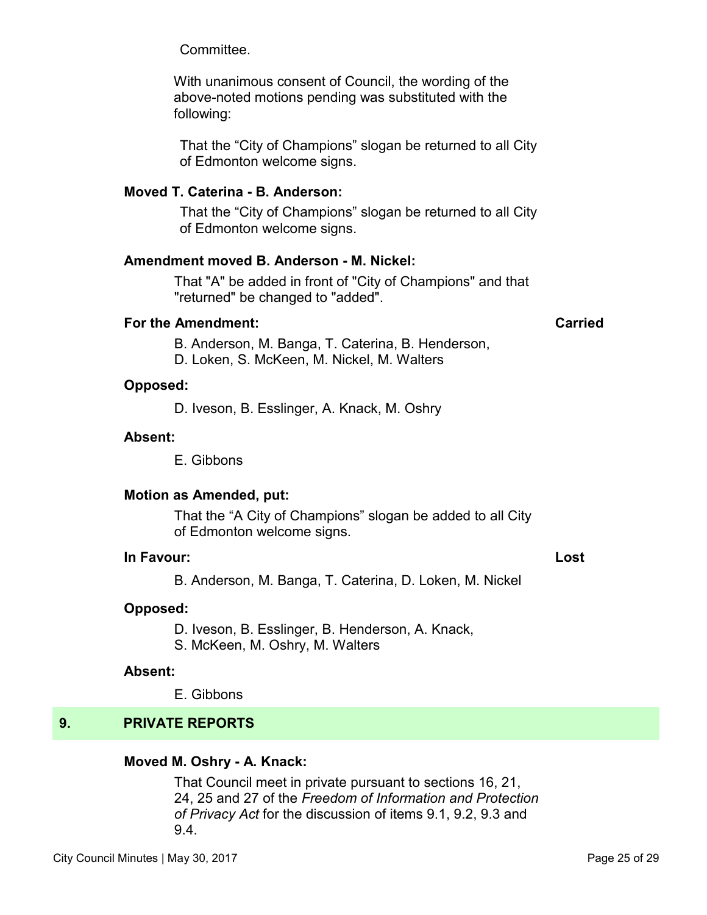<span id="page-24-0"></span>Committee.

With unanimous consent of Council, the wording of the above-noted motions pending was substituted with the following:

That the "City of Champions" slogan be returned to all City of Edmonton welcome signs.

## **Moved T. Caterina - B. Anderson:**

That the "City of Champions" slogan be returned to all City of Edmonton welcome signs.

#### **Amendment moved B. Anderson - M. Nickel:**

That "A" be added in front of "City of Champions" and that "returned" be changed to "added".

#### **For the Amendment: Carried**

B. Anderson, M. Banga, T. Caterina, B. Henderson, D. Loken, S. McKeen, M. Nickel, M. Walters

#### **Opposed:**

D. Iveson, B. Esslinger, A. Knack, M. Oshry

#### **Absent:**

E. Gibbons

#### **Motion as Amended, put:**

That the "A City of Champions" slogan be added to all City of Edmonton welcome signs.

#### **In Favour: Lost**

B. Anderson, M. Banga, T. Caterina, D. Loken, M. Nickel

#### **Opposed:**

D. Iveson, B. Esslinger, B. Henderson, A. Knack,

S. McKeen, M. Oshry, M. Walters

#### **Absent:**

E. Gibbons

## **9. PRIVATE REPORTS**

#### **Moved M. Oshry - A. Knack:**

That Council meet in private pursuant to sections 16, 21, 24, 25 and 27 of the *Freedom of Information and Protection of Privacy Act* for the discussion of items 9.1, 9.2, 9.3 and 9.4.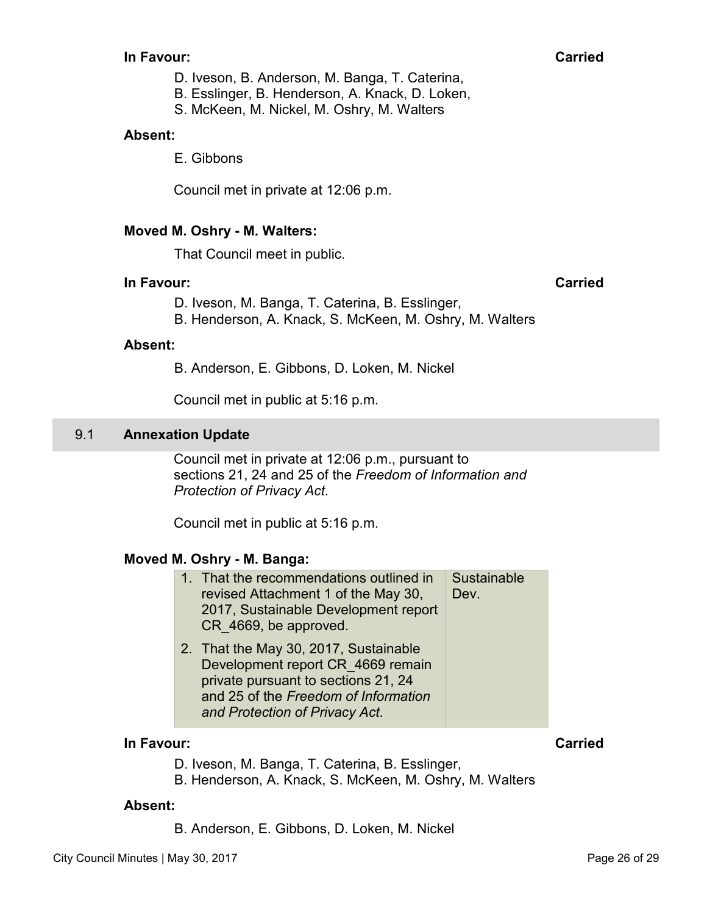#### <span id="page-25-0"></span>**In Favour: Carried**

D. Iveson, B. Anderson, M. Banga, T. Caterina,

B. Esslinger, B. Henderson, A. Knack, D. Loken,

S. McKeen, M. Nickel, M. Oshry, M. Walters

#### **Absent:**

E. Gibbons

Council met in private at 12:06 p.m.

#### **Moved M. Oshry - M. Walters:**

That Council meet in public.

#### **In Favour: Carried**

D. Iveson, M. Banga, T. Caterina, B. Esslinger,

B. Henderson, A. Knack, S. McKeen, M. Oshry, M. Walters

#### **Absent:**

B. Anderson, E. Gibbons, D. Loken, M. Nickel

Council met in public at 5:16 p.m.

#### 9.1 **Annexation Update**

Council met in private at 12:06 p.m., pursuant to sections 21, 24 and 25 of the *Freedom of Information and Protection of Privacy Act*.

Council met in public at 5:16 p.m.

#### **Moved M. Oshry - M. Banga:**

| 1. That the recommendations outlined in<br>revised Attachment 1 of the May 30,<br>2017, Sustainable Development report<br>CR 4669, be approved. | Sustainable<br>Dev. |
|-------------------------------------------------------------------------------------------------------------------------------------------------|---------------------|
| 2. That the May 30, 2017, Sustainable<br>Development report CR 4669 remain<br>private pureyent to contiene 01, 04                               |                     |

private pursuant to sections 21, 24 and 25 of the *Freedom of Information and Protection of Privacy Act*.

## **In Favour: Carried**

- D. Iveson, M. Banga, T. Caterina, B. Esslinger,
- B. Henderson, A. Knack, S. McKeen, M. Oshry, M. Walters

#### **Absent:**

B. Anderson, E. Gibbons, D. Loken, M. Nickel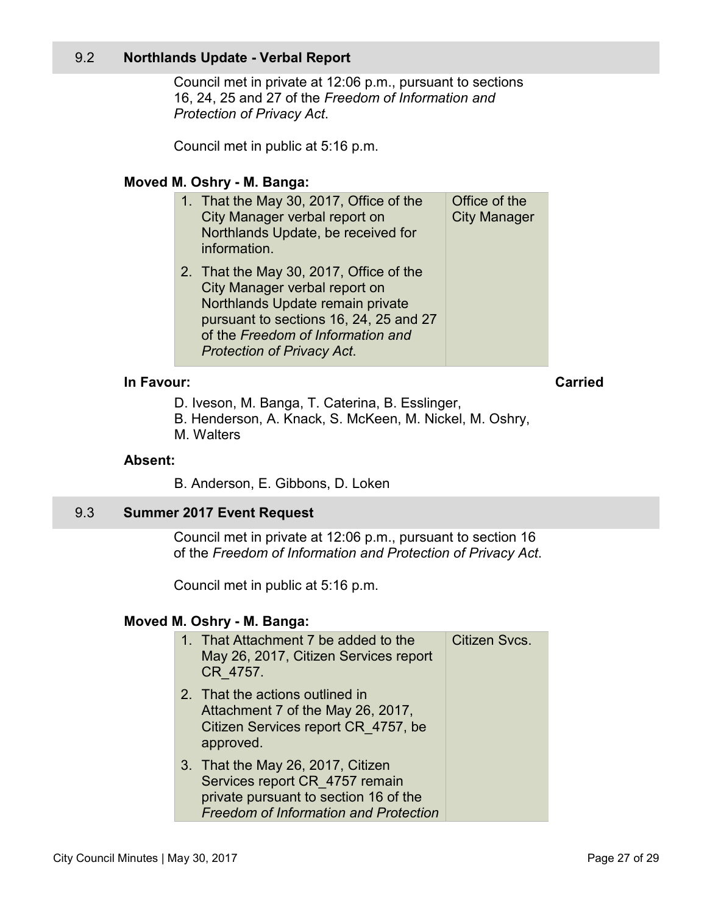## <span id="page-26-0"></span>9.2 **Northlands Update - Verbal Report**

Council met in private at 12:06 p.m., pursuant to sections 16, 24, 25 and 27 of the *Freedom of Information and Protection of Privacy Act*.

Council met in public at 5:16 p.m.

#### **Moved M. Oshry - M. Banga:**

| 1. That the May 30, 2017, Office of the<br>City Manager verbal report on<br>Northlands Update, be received for<br>information.                                                                                                   | Office of the<br><b>City Manager</b> |
|----------------------------------------------------------------------------------------------------------------------------------------------------------------------------------------------------------------------------------|--------------------------------------|
| 2. That the May 30, 2017, Office of the<br>City Manager verbal report on<br>Northlands Update remain private<br>pursuant to sections 16, 24, 25 and 27<br>of the Freedom of Information and<br><b>Protection of Privacy Act.</b> |                                      |

## **In Favour: Carried**

D. Iveson, M. Banga, T. Caterina, B. Esslinger,

B. Henderson, A. Knack, S. McKeen, M. Nickel, M. Oshry, M. Walters

#### **Absent:**

B. Anderson, E. Gibbons, D. Loken

#### 9.3 **Summer 2017 Event Request**

Council met in private at 12:06 p.m., pursuant to section 16 of the *Freedom of Information and Protection of Privacy Act*.

Council met in public at 5:16 p.m.

#### **Moved M. Oshry - M. Banga:**

| 1. That Attachment 7 be added to the<br>May 26, 2017, Citizen Services report<br>CR 4757.                                                                    | Citizen Svcs. |
|--------------------------------------------------------------------------------------------------------------------------------------------------------------|---------------|
| 2. That the actions outlined in<br>Attachment 7 of the May 26, 2017,<br>Citizen Services report CR 4757, be<br>approved.                                     |               |
| 3. That the May 26, 2017, Citizen<br>Services report CR_4757 remain<br>private pursuant to section 16 of the<br><b>Freedom of Information and Protection</b> |               |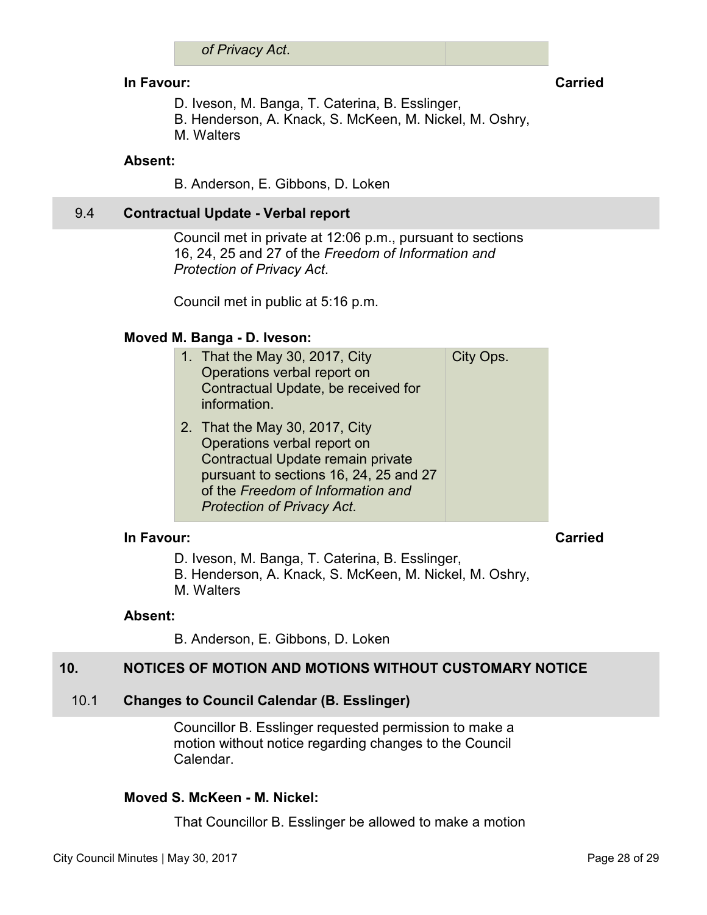#### <span id="page-27-0"></span>**In Favour:** Carried Carried Carried Carried Carried Carried Carried Carried Carried Carried Carried Carried Carried Carried Carried Carried Carried Carried Carried Carried Carried Carried Carried Carried Carried Carried C

- D. Iveson, M. Banga, T. Caterina, B. Esslinger,
- B. Henderson, A. Knack, S. McKeen, M. Nickel, M. Oshry,
- M. Walters

## **Absent:**

B. Anderson, E. Gibbons, D. Loken

## 9.4 **Contractual Update - Verbal report**

Council met in private at 12:06 p.m., pursuant to sections 16, 24, 25 and 27 of the *Freedom of Information and Protection of Privacy Act*.

Council met in public at 5:16 p.m.

#### **Moved M. Banga - D. Iveson:**

|  | 1. That the May 30, 2017, City<br>Operations verbal report on<br>Contractual Update, be received for<br>information.                                                                                                   | City Ops. |
|--|------------------------------------------------------------------------------------------------------------------------------------------------------------------------------------------------------------------------|-----------|
|  | 2. That the May 30, 2017, City<br>Operations verbal report on<br>Contractual Update remain private<br>pursuant to sections 16, 24, 25 and 27<br>of the Freedom of Information and<br><b>Protection of Privacy Act.</b> |           |

#### **In Favour: Carried**

- D. Iveson, M. Banga, T. Caterina, B. Esslinger,
- B. Henderson, A. Knack, S. McKeen, M. Nickel, M. Oshry,
- M. Walters

#### **Absent:**

B. Anderson, E. Gibbons, D. Loken

## **10. NOTICES OF MOTION AND MOTIONS WITHOUT CUSTOMARY NOTICE**

## 10.1 **Changes to Council Calendar (B. Esslinger)**

Councillor B. Esslinger requested permission to make a motion without notice regarding changes to the Council Calendar.

## **Moved S. McKeen - M. Nickel:**

That Councillor B. Esslinger be allowed to make a motion